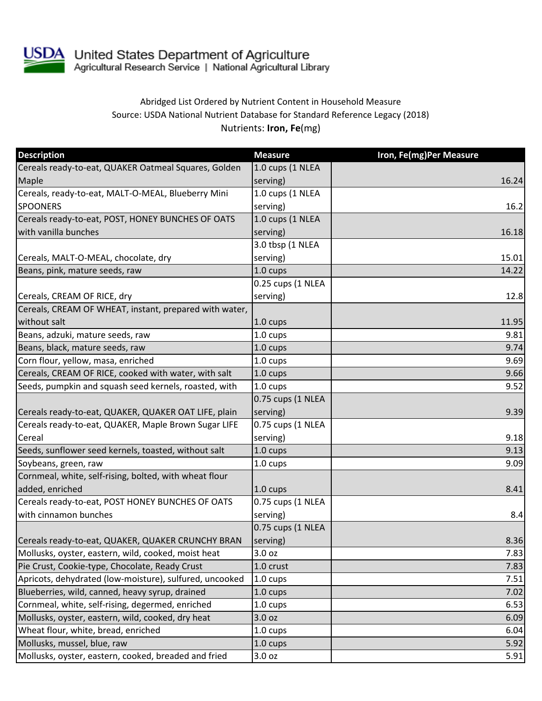

USDA United States Department of Agriculture<br>Agricultural Research Service | National Agricultural Library

## Abridged List Ordered by Nutrient Content in Household Measure Source: USDA National Nutrient Database for Standard Reference Legacy (2018) Nutrients: **Iron, Fe**(mg)

| <b>Description</b>                                      | <b>Measure</b>     | Iron, Fe(mg)Per Measure |
|---------------------------------------------------------|--------------------|-------------------------|
| Cereals ready-to-eat, QUAKER Oatmeal Squares, Golden    | 1.0 cups (1 NLEA   |                         |
| Maple                                                   | serving)           | 16.24                   |
| Cereals, ready-to-eat, MALT-O-MEAL, Blueberry Mini      | 1.0 cups (1 NLEA   |                         |
| <b>SPOONERS</b>                                         | serving)           | 16.2                    |
| Cereals ready-to-eat, POST, HONEY BUNCHES OF OATS       | 1.0 cups (1 NLEA   |                         |
| with vanilla bunches                                    | serving)           | 16.18                   |
|                                                         | 3.0 tbsp (1 NLEA   |                         |
| Cereals, MALT-O-MEAL, chocolate, dry                    | serving)           | 15.01                   |
| Beans, pink, mature seeds, raw                          | 1.0 cups           | 14.22                   |
|                                                         | 0.25 cups (1 NLEA  |                         |
| Cereals, CREAM OF RICE, dry                             | serving)           | 12.8                    |
| Cereals, CREAM OF WHEAT, instant, prepared with water,  |                    |                         |
| without salt                                            | 1.0 cups           | 11.95                   |
| Beans, adzuki, mature seeds, raw                        | 1.0 cups           | 9.81                    |
| Beans, black, mature seeds, raw                         | 1.0 cups           | 9.74                    |
| Corn flour, yellow, masa, enriched                      | $1.0 \text{ cups}$ | 9.69                    |
| Cereals, CREAM OF RICE, cooked with water, with salt    | $1.0 \text{ cups}$ | 9.66                    |
| Seeds, pumpkin and squash seed kernels, roasted, with   | $1.0 \text{ cups}$ | 9.52                    |
|                                                         | 0.75 cups (1 NLEA  |                         |
| Cereals ready-to-eat, QUAKER, QUAKER OAT LIFE, plain    | serving)           | 9.39                    |
| Cereals ready-to-eat, QUAKER, Maple Brown Sugar LIFE    | 0.75 cups (1 NLEA  |                         |
| Cereal                                                  | serving)           | 9.18                    |
| Seeds, sunflower seed kernels, toasted, without salt    | $1.0 \text{ cups}$ | 9.13                    |
| Soybeans, green, raw                                    | 1.0 cups           | 9.09                    |
| Cornmeal, white, self-rising, bolted, with wheat flour  |                    |                         |
| added, enriched                                         | 1.0 cups           | 8.41                    |
| Cereals ready-to-eat, POST HONEY BUNCHES OF OATS        | 0.75 cups (1 NLEA  |                         |
| with cinnamon bunches                                   | serving)           | 8.4                     |
|                                                         | 0.75 cups (1 NLEA  |                         |
| Cereals ready-to-eat, QUAKER, QUAKER CRUNCHY BRAN       | serving)           | 8.36                    |
| Mollusks, oyster, eastern, wild, cooked, moist heat     | 3.0 oz             | 7.83                    |
| Pie Crust, Cookie-type, Chocolate, Ready Crust          | 1.0 crust          | 7.83                    |
| Apricots, dehydrated (low-moisture), sulfured, uncooked | $1.0 \text{ cups}$ | 7.51                    |
| Blueberries, wild, canned, heavy syrup, drained         | 1.0 cups           | 7.02                    |
| Cornmeal, white, self-rising, degermed, enriched        | $1.0 \text{ cups}$ | 6.53                    |
| Mollusks, oyster, eastern, wild, cooked, dry heat       | 3.0 oz             | 6.09                    |
| Wheat flour, white, bread, enriched                     | 1.0 cups           | 6.04                    |
| Mollusks, mussel, blue, raw                             | 1.0 cups           | 5.92                    |
| Mollusks, oyster, eastern, cooked, breaded and fried    | 3.0 oz             | 5.91                    |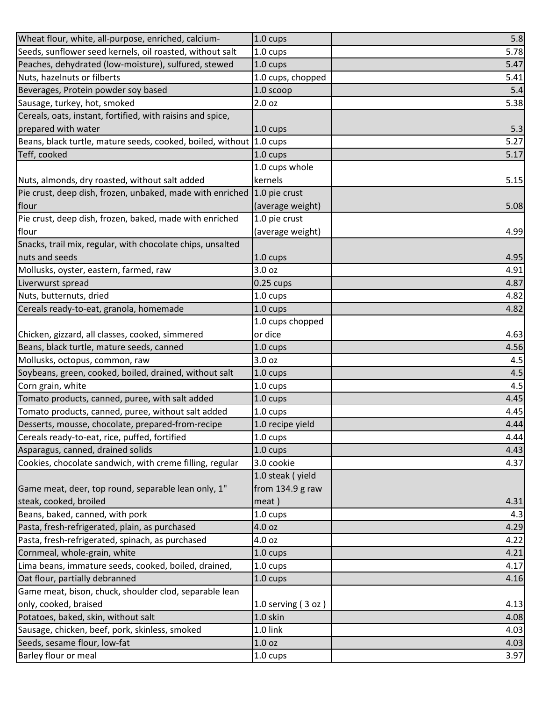| Wheat flour, white, all-purpose, enriched, calcium-        | 1.0 cups             | 5.8  |
|------------------------------------------------------------|----------------------|------|
| Seeds, sunflower seed kernels, oil roasted, without salt   | 1.0 cups             | 5.78 |
| Peaches, dehydrated (low-moisture), sulfured, stewed       | 1.0 cups             | 5.47 |
| Nuts, hazelnuts or filberts                                | 1.0 cups, chopped    | 5.41 |
| Beverages, Protein powder soy based                        | 1.0 scoop            | 5.4  |
| Sausage, turkey, hot, smoked                               | 2.0 oz               | 5.38 |
| Cereals, oats, instant, fortified, with raisins and spice, |                      |      |
| prepared with water                                        | 1.0 cups             | 5.3  |
| Beans, black turtle, mature seeds, cooked, boiled, without | $1.0 \text{ cups}$   | 5.27 |
| Teff, cooked                                               | 1.0 cups             | 5.17 |
|                                                            | 1.0 cups whole       |      |
| Nuts, almonds, dry roasted, without salt added             | kernels              | 5.15 |
| Pie crust, deep dish, frozen, unbaked, made with enriched  | 1.0 pie crust        |      |
| flour                                                      | (average weight)     | 5.08 |
| Pie crust, deep dish, frozen, baked, made with enriched    | 1.0 pie crust        |      |
| flour                                                      | (average weight)     | 4.99 |
| Snacks, trail mix, regular, with chocolate chips, unsalted |                      |      |
| nuts and seeds                                             | 1.0 cups             | 4.95 |
| Mollusks, oyster, eastern, farmed, raw                     | 3.0 oz               | 4.91 |
| Liverwurst spread                                          | $0.25$ cups          | 4.87 |
| Nuts, butternuts, dried                                    | 1.0 cups             | 4.82 |
| Cereals ready-to-eat, granola, homemade                    | $1.0 \text{ cups}$   | 4.82 |
|                                                            | 1.0 cups chopped     |      |
| Chicken, gizzard, all classes, cooked, simmered            | or dice              | 4.63 |
| Beans, black turtle, mature seeds, canned                  | 1.0 cups             | 4.56 |
| Mollusks, octopus, common, raw                             | 3.0 oz               | 4.5  |
| Soybeans, green, cooked, boiled, drained, without salt     | 1.0 cups             | 4.5  |
| Corn grain, white                                          | 1.0 cups             | 4.5  |
| Tomato products, canned, puree, with salt added            | $1.0 \text{ cups}$   | 4.45 |
| Tomato products, canned, puree, without salt added         | 1.0 cups             | 4.45 |
| Desserts, mousse, chocolate, prepared-from-recipe          | 1.0 recipe yield     | 4.44 |
| Cereals ready-to-eat, rice, puffed, fortified              | 1.0 cups             | 4.44 |
| Asparagus, canned, drained solids                          | 1.0 cups             | 4.43 |
| Cookies, chocolate sandwich, with creme filling, regular   | 3.0 cookie           | 4.37 |
|                                                            | 1.0 steak (yield     |      |
| Game meat, deer, top round, separable lean only, 1"        | from $134.9$ g raw   |      |
| steak, cooked, broiled                                     | meat)                | 4.31 |
| Beans, baked, canned, with pork                            | 1.0 cups             | 4.3  |
| Pasta, fresh-refrigerated, plain, as purchased             | 4.0 oz               | 4.29 |
| Pasta, fresh-refrigerated, spinach, as purchased           | 4.0 oz               | 4.22 |
| Cornmeal, whole-grain, white                               | $1.0 \text{ cups}$   | 4.21 |
| Lima beans, immature seeds, cooked, boiled, drained,       | 1.0 cups             | 4.17 |
| Oat flour, partially debranned                             | 1.0 cups             | 4.16 |
| Game meat, bison, chuck, shoulder clod, separable lean     |                      |      |
| only, cooked, braised                                      | 1.0 serving $(3 oz)$ | 4.13 |
| Potatoes, baked, skin, without salt                        | 1.0 skin             | 4.08 |
| Sausage, chicken, beef, pork, skinless, smoked             | 1.0 link             | 4.03 |
| Seeds, sesame flour, low-fat                               | 1.0 oz               | 4.03 |
| Barley flour or meal                                       | 1.0 cups             | 3.97 |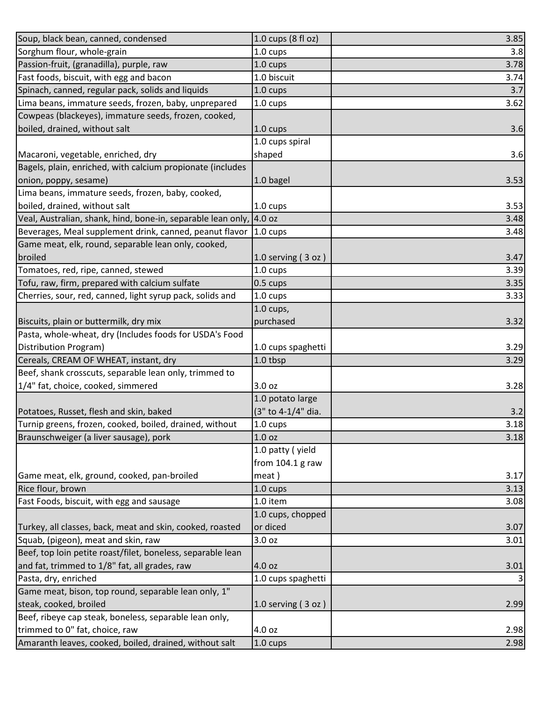| Soup, black bean, canned, condensed                          | 1.0 cups (8 fl oz)   | 3.85 |
|--------------------------------------------------------------|----------------------|------|
| Sorghum flour, whole-grain                                   | 1.0 cups             | 3.8  |
| Passion-fruit, (granadilla), purple, raw                     | 1.0 cups             | 3.78 |
| Fast foods, biscuit, with egg and bacon                      | 1.0 biscuit          | 3.74 |
| Spinach, canned, regular pack, solids and liquids            | 1.0 cups             | 3.7  |
| Lima beans, immature seeds, frozen, baby, unprepared         | 1.0 cups             | 3.62 |
| Cowpeas (blackeyes), immature seeds, frozen, cooked,         |                      |      |
| boiled, drained, without salt                                | 1.0 cups             | 3.6  |
|                                                              | 1.0 cups spiral      |      |
| Macaroni, vegetable, enriched, dry                           | shaped               | 3.6  |
| Bagels, plain, enriched, with calcium propionate (includes   |                      |      |
| onion, poppy, sesame)                                        | 1.0 bagel            | 3.53 |
| Lima beans, immature seeds, frozen, baby, cooked,            |                      |      |
| boiled, drained, without salt                                | 1.0 cups             | 3.53 |
| Veal, Australian, shank, hind, bone-in, separable lean only, | 4.0 oz               | 3.48 |
| Beverages, Meal supplement drink, canned, peanut flavor      | 1.0 cups             | 3.48 |
| Game meat, elk, round, separable lean only, cooked,          |                      |      |
| broiled                                                      | 1.0 serving $(3 oz)$ | 3.47 |
| Tomatoes, red, ripe, canned, stewed                          | 1.0 cups             | 3.39 |
| Tofu, raw, firm, prepared with calcium sulfate               | 0.5 cups             | 3.35 |
| Cherries, sour, red, canned, light syrup pack, solids and    | 1.0 cups             | 3.33 |
|                                                              | $1.0$ cups,          |      |
| Biscuits, plain or buttermilk, dry mix                       | purchased            | 3.32 |
| Pasta, whole-wheat, dry (Includes foods for USDA's Food      |                      |      |
| Distribution Program)                                        | 1.0 cups spaghetti   | 3.29 |
| Cereals, CREAM OF WHEAT, instant, dry                        | 1.0 tbsp             | 3.29 |
| Beef, shank crosscuts, separable lean only, trimmed to       |                      |      |
| 1/4" fat, choice, cooked, simmered                           | 3.0 oz               | 3.28 |
|                                                              | 1.0 potato large     |      |
| Potatoes, Russet, flesh and skin, baked                      | (3" to 4-1/4" dia.   | 3.2  |
| Turnip greens, frozen, cooked, boiled, drained, without      | 1.0 cups             | 3.18 |
| Braunschweiger (a liver sausage), pork                       | 1.0 <sub>oz</sub>    | 3.18 |
|                                                              | 1.0 patty (yield     |      |
|                                                              | from $104.1$ g raw   |      |
| Game meat, elk, ground, cooked, pan-broiled                  | meat)                | 3.17 |
| Rice flour, brown                                            | $1.0 \text{ cups}$   | 3.13 |
| Fast Foods, biscuit, with egg and sausage                    | 1.0 item             | 3.08 |
|                                                              | 1.0 cups, chopped    |      |
| Turkey, all classes, back, meat and skin, cooked, roasted    | or diced             | 3.07 |
| Squab, (pigeon), meat and skin, raw                          | 3.0 oz               | 3.01 |
| Beef, top loin petite roast/filet, boneless, separable lean  |                      |      |
| and fat, trimmed to 1/8" fat, all grades, raw                | 4.0 oz               | 3.01 |
| Pasta, dry, enriched                                         | 1.0 cups spaghetti   | 3    |
| Game meat, bison, top round, separable lean only, 1"         |                      |      |
| steak, cooked, broiled                                       | 1.0 serving $(3 oz)$ | 2.99 |
| Beef, ribeye cap steak, boneless, separable lean only,       |                      |      |
| trimmed to 0" fat, choice, raw                               | 4.0 oz               | 2.98 |
| Amaranth leaves, cooked, boiled, drained, without salt       | 1.0 cups             | 2.98 |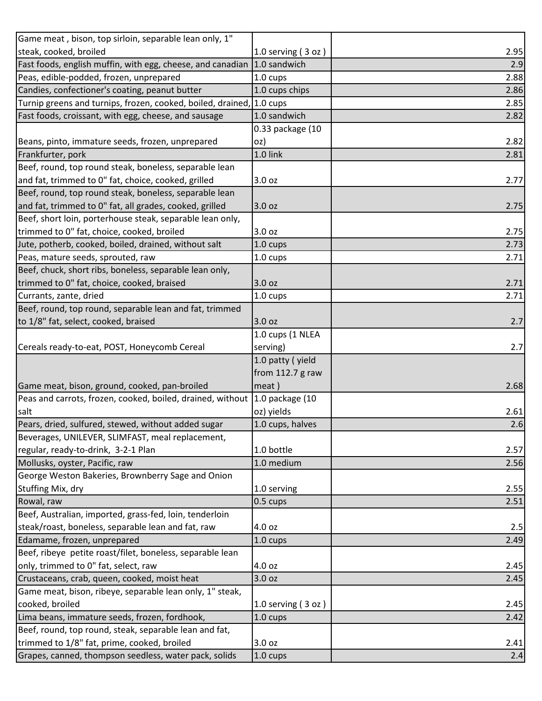| Game meat, bison, top sirloin, separable lean only, 1"      |                      |      |
|-------------------------------------------------------------|----------------------|------|
| steak, cooked, broiled                                      | 1.0 serving $(3 oz)$ | 2.95 |
| Fast foods, english muffin, with egg, cheese, and canadian  | 1.0 sandwich         | 2.9  |
| Peas, edible-podded, frozen, unprepared                     | 1.0 cups             | 2.88 |
| Candies, confectioner's coating, peanut butter              | 1.0 cups chips       | 2.86 |
| Turnip greens and turnips, frozen, cooked, boiled, drained, | $1.0 \text{ cups}$   | 2.85 |
| Fast foods, croissant, with egg, cheese, and sausage        | 1.0 sandwich         | 2.82 |
|                                                             | 0.33 package (10     |      |
| Beans, pinto, immature seeds, frozen, unprepared            | oz)                  | 2.82 |
| Frankfurter, pork                                           | 1.0 link             | 2.81 |
| Beef, round, top round steak, boneless, separable lean      |                      |      |
| and fat, trimmed to 0" fat, choice, cooked, grilled         | 3.0 oz               | 2.77 |
| Beef, round, top round steak, boneless, separable lean      |                      |      |
| and fat, trimmed to 0" fat, all grades, cooked, grilled     | 3.0 oz               | 2.75 |
| Beef, short loin, porterhouse steak, separable lean only,   |                      |      |
| trimmed to 0" fat, choice, cooked, broiled                  | 3.0 oz               | 2.75 |
| Jute, potherb, cooked, boiled, drained, without salt        | 1.0 cups             | 2.73 |
| Peas, mature seeds, sprouted, raw                           | 1.0 cups             | 2.71 |
| Beef, chuck, short ribs, boneless, separable lean only,     |                      |      |
| trimmed to 0" fat, choice, cooked, braised                  | 3.0 oz               | 2.71 |
| Currants, zante, dried                                      | 1.0 cups             | 2.71 |
| Beef, round, top round, separable lean and fat, trimmed     |                      |      |
| to 1/8" fat, select, cooked, braised                        | 3.0 oz               | 2.7  |
|                                                             | 1.0 cups (1 NLEA     |      |
| Cereals ready-to-eat, POST, Honeycomb Cereal                | serving)             | 2.7  |
|                                                             | 1.0 patty (yield     |      |
|                                                             | from $112.7$ g raw   |      |
| Game meat, bison, ground, cooked, pan-broiled               | meat)                | 2.68 |
| Peas and carrots, frozen, cooked, boiled, drained, without  | 1.0 package (10      |      |
| salt                                                        | oz) yields           | 2.61 |
| Pears, dried, sulfured, stewed, without added sugar         | 1.0 cups, halves     | 2.6  |
| Beverages, UNILEVER, SLIMFAST, meal replacement,            |                      |      |
| regular, ready-to-drink, 3-2-1 Plan                         | 1.0 bottle           | 2.57 |
| Mollusks, oyster, Pacific, raw                              | 1.0 medium           | 2.56 |
| George Weston Bakeries, Brownberry Sage and Onion           |                      |      |
| Stuffing Mix, dry                                           | 1.0 serving          | 2.55 |
| Rowal, raw                                                  | 0.5 cups             | 2.51 |
| Beef, Australian, imported, grass-fed, loin, tenderloin     |                      |      |
| steak/roast, boneless, separable lean and fat, raw          | 4.0 oz               | 2.5  |
| Edamame, frozen, unprepared                                 | 1.0 cups             | 2.49 |
| Beef, ribeye petite roast/filet, boneless, separable lean   |                      |      |
| only, trimmed to 0" fat, select, raw                        | 4.0 oz               | 2.45 |
| Crustaceans, crab, queen, cooked, moist heat                | 3.0 oz               | 2.45 |
| Game meat, bison, ribeye, separable lean only, 1" steak,    |                      |      |
| cooked, broiled                                             | 1.0 serving $(3 oz)$ | 2.45 |
| Lima beans, immature seeds, frozen, fordhook,               | 1.0 cups             | 2.42 |
| Beef, round, top round, steak, separable lean and fat,      |                      |      |
| trimmed to 1/8" fat, prime, cooked, broiled                 | 3.0 oz               | 2.41 |
| Grapes, canned, thompson seedless, water pack, solids       | 1.0 cups             | 2.4  |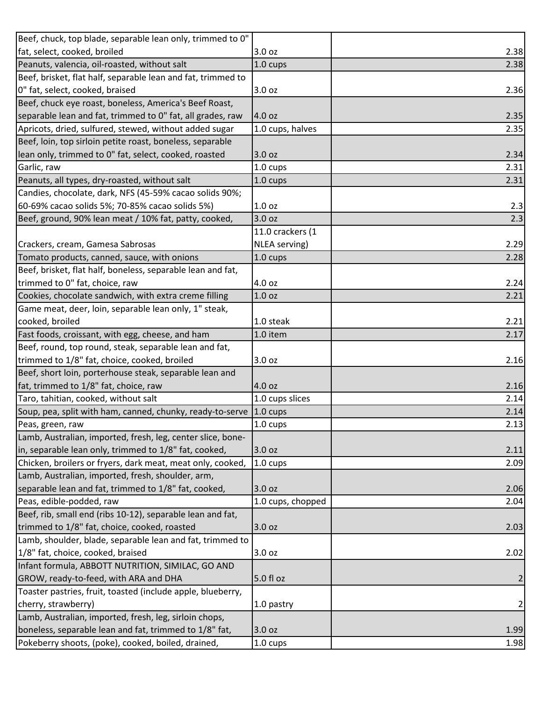| Beef, chuck, top blade, separable lean only, trimmed to 0"   |                    |                |
|--------------------------------------------------------------|--------------------|----------------|
| fat, select, cooked, broiled                                 | 3.0 oz             | 2.38           |
| Peanuts, valencia, oil-roasted, without salt                 | 1.0 cups           | 2.38           |
| Beef, brisket, flat half, separable lean and fat, trimmed to |                    |                |
| 0" fat, select, cooked, braised                              | 3.0 oz             | 2.36           |
| Beef, chuck eye roast, boneless, America's Beef Roast,       |                    |                |
| separable lean and fat, trimmed to 0" fat, all grades, raw   | 4.0 oz             | 2.35           |
| Apricots, dried, sulfured, stewed, without added sugar       | 1.0 cups, halves   | 2.35           |
| Beef, loin, top sirloin petite roast, boneless, separable    |                    |                |
| lean only, trimmed to 0" fat, select, cooked, roasted        | 3.0 oz             | 2.34           |
| Garlic, raw                                                  | 1.0 cups           | 2.31           |
| Peanuts, all types, dry-roasted, without salt                | 1.0 cups           | 2.31           |
| Candies, chocolate, dark, NFS (45-59% cacao solids 90%;      |                    |                |
| 60-69% cacao solids 5%; 70-85% cacao solids 5%)              | 1.0 oz             | 2.3            |
| Beef, ground, 90% lean meat / 10% fat, patty, cooked,        | 3.0 oz             | 2.3            |
|                                                              | 11.0 crackers (1   |                |
| Crackers, cream, Gamesa Sabrosas                             | NLEA serving)      | 2.29           |
| Tomato products, canned, sauce, with onions                  | 1.0 cups           | 2.28           |
| Beef, brisket, flat half, boneless, separable lean and fat,  |                    |                |
| trimmed to 0" fat, choice, raw                               | 4.0 oz             | 2.24           |
| Cookies, chocolate sandwich, with extra creme filling        | 1.0 oz             | 2.21           |
| Game meat, deer, loin, separable lean only, 1" steak,        |                    |                |
| cooked, broiled                                              | 1.0 steak          | 2.21           |
| Fast foods, croissant, with egg, cheese, and ham             | 1.0 item           | 2.17           |
| Beef, round, top round, steak, separable lean and fat,       |                    |                |
| trimmed to 1/8" fat, choice, cooked, broiled                 | 3.0 oz             | 2.16           |
| Beef, short loin, porterhouse steak, separable lean and      |                    |                |
| fat, trimmed to 1/8" fat, choice, raw                        | 4.0 oz             | 2.16           |
| Taro, tahitian, cooked, without salt                         | 1.0 cups slices    | 2.14           |
| Soup, pea, split with ham, canned, chunky, ready-to-serve    | $1.0 \text{ cups}$ | 2.14           |
| Peas, green, raw                                             | 1.0 cups           | 2.13           |
| Lamb, Australian, imported, fresh, leg, center slice, bone-  |                    |                |
| in, separable lean only, trimmed to 1/8" fat, cooked,        | 3.0 oz             | 2.11           |
| Chicken, broilers or fryers, dark meat, meat only, cooked,   | $1.0 \text{ cups}$ | 2.09           |
| Lamb, Australian, imported, fresh, shoulder, arm,            |                    |                |
| separable lean and fat, trimmed to 1/8" fat, cooked,         | 3.0 oz             | 2.06           |
| Peas, edible-podded, raw                                     | 1.0 cups, chopped  | 2.04           |
| Beef, rib, small end (ribs 10-12), separable lean and fat,   |                    |                |
| trimmed to 1/8" fat, choice, cooked, roasted                 | 3.0 oz             | 2.03           |
| Lamb, shoulder, blade, separable lean and fat, trimmed to    |                    |                |
| 1/8" fat, choice, cooked, braised                            | 3.0 oz             | 2.02           |
| Infant formula, ABBOTT NUTRITION, SIMILAC, GO AND            |                    |                |
| GROW, ready-to-feed, with ARA and DHA                        | 5.0 fl oz          | $\overline{2}$ |
| Toaster pastries, fruit, toasted (include apple, blueberry,  |                    |                |
| cherry, strawberry)                                          | 1.0 pastry         | $\mathbf{2}$   |
| Lamb, Australian, imported, fresh, leg, sirloin chops,       |                    |                |
| boneless, separable lean and fat, trimmed to 1/8" fat,       | 3.0 oz             | 1.99           |
| Pokeberry shoots, (poke), cooked, boiled, drained,           | 1.0 cups           | 1.98           |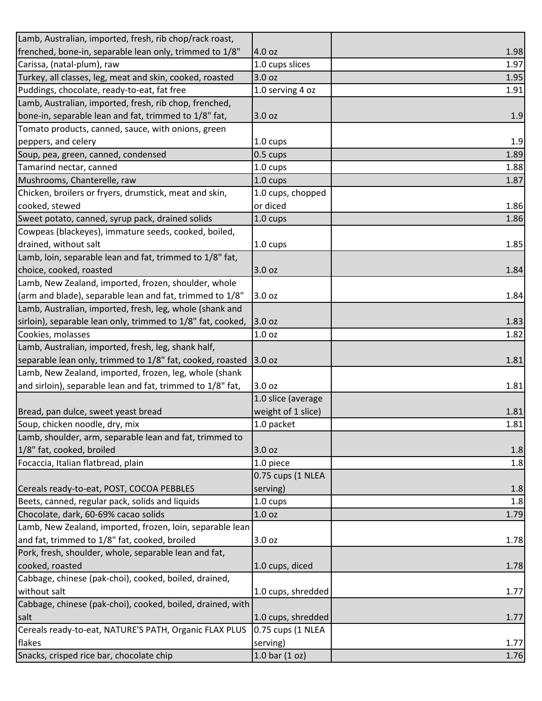| Lamb, Australian, imported, fresh, rib chop/rack roast,     |                    |      |
|-------------------------------------------------------------|--------------------|------|
| frenched, bone-in, separable lean only, trimmed to 1/8"     | 4.0 oz             | 1.98 |
| Carissa, (natal-plum), raw                                  | 1.0 cups slices    | 1.97 |
| Turkey, all classes, leg, meat and skin, cooked, roasted    | 3.0 oz             | 1.95 |
| Puddings, chocolate, ready-to-eat, fat free                 | 1.0 serving 4 oz   | 1.91 |
| Lamb, Australian, imported, fresh, rib chop, frenched,      |                    |      |
| bone-in, separable lean and fat, trimmed to 1/8" fat,       | 3.0 oz             | 1.9  |
| Tomato products, canned, sauce, with onions, green          |                    |      |
| peppers, and celery                                         | 1.0 cups           | 1.9  |
| Soup, pea, green, canned, condensed                         | 0.5 cups           | 1.89 |
| Tamarind nectar, canned                                     | 1.0 cups           | 1.88 |
| Mushrooms, Chanterelle, raw                                 | 1.0 cups           | 1.87 |
| Chicken, broilers or fryers, drumstick, meat and skin,      | 1.0 cups, chopped  |      |
| cooked, stewed                                              | or diced           | 1.86 |
| Sweet potato, canned, syrup pack, drained solids            | 1.0 cups           | 1.86 |
| Cowpeas (blackeyes), immature seeds, cooked, boiled,        |                    |      |
| drained, without salt                                       | $1.0 \text{ cups}$ | 1.85 |
| Lamb, loin, separable lean and fat, trimmed to 1/8" fat,    |                    |      |
| choice, cooked, roasted                                     | 3.0 oz             | 1.84 |
| Lamb, New Zealand, imported, frozen, shoulder, whole        |                    |      |
| (arm and blade), separable lean and fat, trimmed to 1/8"    | 3.0 oz             | 1.84 |
| Lamb, Australian, imported, fresh, leg, whole (shank and    |                    |      |
| sirloin), separable lean only, trimmed to 1/8" fat, cooked, | 3.0 oz             | 1.83 |
| Cookies, molasses                                           | 1.0 oz             | 1.82 |
| Lamb, Australian, imported, fresh, leg, shank half,         |                    |      |
| separable lean only, trimmed to 1/8" fat, cooked, roasted   | 3.0 oz             | 1.81 |
| Lamb, New Zealand, imported, frozen, leg, whole (shank      |                    |      |
| and sirloin), separable lean and fat, trimmed to 1/8" fat,  | 3.0 oz             | 1.81 |
|                                                             | 1.0 slice (average |      |
| Bread, pan dulce, sweet yeast bread                         | weight of 1 slice) | 1.81 |
| Soup, chicken noodle, dry, mix                              | 1.0 packet         | 1.81 |
| Lamb, shoulder, arm, separable lean and fat, trimmed to     |                    |      |
| 1/8" fat, cooked, broiled                                   | 3.0 oz             | 1.8  |
| Focaccia, Italian flatbread, plain                          | 1.0 piece          | 1.8  |
|                                                             | 0.75 cups (1 NLEA  |      |
| Cereals ready-to-eat, POST, COCOA PEBBLES                   | serving)           | 1.8  |
| Beets, canned, regular pack, solids and liquids             | 1.0 cups           | 1.8  |
| Chocolate, dark, 60-69% cacao solids                        | 1.0 oz             | 1.79 |
| Lamb, New Zealand, imported, frozen, loin, separable lean   |                    |      |
| and fat, trimmed to 1/8" fat, cooked, broiled               | 3.0 oz             | 1.78 |
| Pork, fresh, shoulder, whole, separable lean and fat,       |                    |      |
| cooked, roasted                                             | 1.0 cups, diced    | 1.78 |
| Cabbage, chinese (pak-choi), cooked, boiled, drained,       |                    |      |
| without salt                                                | 1.0 cups, shredded | 1.77 |
| Cabbage, chinese (pak-choi), cooked, boiled, drained, with  |                    |      |
| salt                                                        | 1.0 cups, shredded | 1.77 |
| Cereals ready-to-eat, NATURE'S PATH, Organic FLAX PLUS      | 0.75 cups (1 NLEA  |      |
| flakes                                                      | serving)           | 1.77 |
| Snacks, crisped rice bar, chocolate chip                    | 1.0 bar $(1 oz)$   | 1.76 |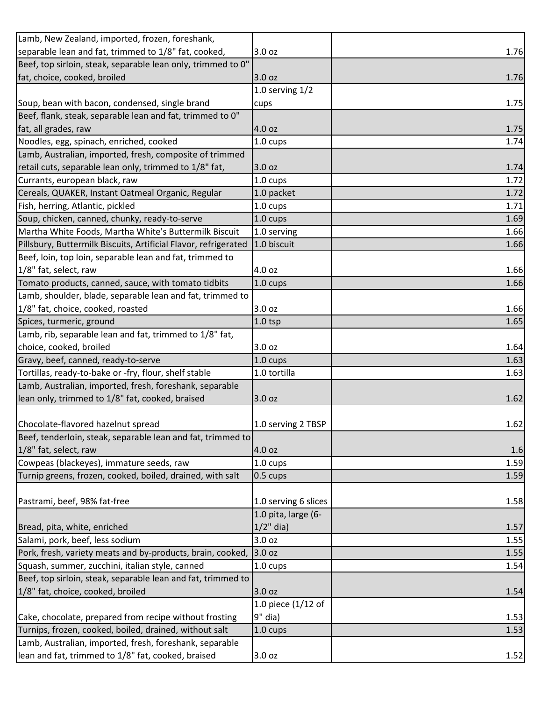| Lamb, New Zealand, imported, frozen, foreshank,                                                               |                      |      |
|---------------------------------------------------------------------------------------------------------------|----------------------|------|
| separable lean and fat, trimmed to 1/8" fat, cooked,                                                          | 3.0 oz               | 1.76 |
| Beef, top sirloin, steak, separable lean only, trimmed to 0"                                                  |                      |      |
| fat, choice, cooked, broiled                                                                                  | 3.0 oz               | 1.76 |
|                                                                                                               | 1.0 serving $1/2$    |      |
| Soup, bean with bacon, condensed, single brand                                                                | cups                 | 1.75 |
| Beef, flank, steak, separable lean and fat, trimmed to 0"                                                     |                      |      |
| fat, all grades, raw                                                                                          | 4.0 oz               | 1.75 |
| Noodles, egg, spinach, enriched, cooked                                                                       | 1.0 cups             | 1.74 |
| Lamb, Australian, imported, fresh, composite of trimmed                                                       |                      |      |
| retail cuts, separable lean only, trimmed to 1/8" fat,                                                        | 3.0 oz               | 1.74 |
| Currants, european black, raw                                                                                 | $1.0 \text{ cups}$   | 1.72 |
| Cereals, QUAKER, Instant Oatmeal Organic, Regular                                                             | 1.0 packet           | 1.72 |
| Fish, herring, Atlantic, pickled                                                                              | 1.0 cups             | 1.71 |
| Soup, chicken, canned, chunky, ready-to-serve                                                                 | 1.0 cups             | 1.69 |
| Martha White Foods, Martha White's Buttermilk Biscuit                                                         | 1.0 serving          | 1.66 |
| Pillsbury, Buttermilk Biscuits, Artificial Flavor, refrigerated                                               | 1.0 biscuit          | 1.66 |
| Beef, loin, top loin, separable lean and fat, trimmed to                                                      |                      |      |
| 1/8" fat, select, raw                                                                                         | 4.0 oz               | 1.66 |
| Tomato products, canned, sauce, with tomato tidbits                                                           | 1.0 cups             | 1.66 |
| Lamb, shoulder, blade, separable lean and fat, trimmed to                                                     |                      |      |
| 1/8" fat, choice, cooked, roasted                                                                             | 3.0 oz               | 1.66 |
| Spices, turmeric, ground                                                                                      | $1.0$ tsp            | 1.65 |
| Lamb, rib, separable lean and fat, trimmed to 1/8" fat,                                                       |                      |      |
| choice, cooked, broiled                                                                                       | 3.0 oz               | 1.64 |
| Gravy, beef, canned, ready-to-serve                                                                           | 1.0 cups             | 1.63 |
| Tortillas, ready-to-bake or -fry, flour, shelf stable                                                         | 1.0 tortilla         | 1.63 |
| Lamb, Australian, imported, fresh, foreshank, separable                                                       |                      |      |
| lean only, trimmed to 1/8" fat, cooked, braised                                                               | 3.0 oz               | 1.62 |
|                                                                                                               |                      |      |
| Chocolate-flavored hazelnut spread                                                                            | 1.0 serving 2 TBSP   | 1.62 |
| Beef, tenderloin, steak, separable lean and fat, trimmed to                                                   |                      |      |
| 1/8" fat, select, raw                                                                                         | 4.0 oz               | 1.6  |
| Cowpeas (blackeyes), immature seeds, raw                                                                      | 1.0 cups             | 1.59 |
| Turnip greens, frozen, cooked, boiled, drained, with salt                                                     | 0.5 cups             | 1.59 |
|                                                                                                               |                      |      |
| Pastrami, beef, 98% fat-free                                                                                  | 1.0 serving 6 slices | 1.58 |
|                                                                                                               | 1.0 pita, large (6-  |      |
| Bread, pita, white, enriched                                                                                  | $1/2$ " dia)         | 1.57 |
| Salami, pork, beef, less sodium                                                                               | 3.0 oz               | 1.55 |
| Pork, fresh, variety meats and by-products, brain, cooked,                                                    | 3.0 oz               | 1.55 |
| Squash, summer, zucchini, italian style, canned                                                               | 1.0 cups             | 1.54 |
| Beef, top sirloin, steak, separable lean and fat, trimmed to                                                  |                      |      |
| 1/8" fat, choice, cooked, broiled                                                                             | 3.0 oz               | 1.54 |
|                                                                                                               | 1.0 piece (1/12 of   |      |
| Cake, chocolate, prepared from recipe without frosting                                                        |                      | 1.53 |
|                                                                                                               | $9"$ dia)            |      |
| Turnips, frozen, cooked, boiled, drained, without salt                                                        | 1.0 cups             | 1.53 |
| Lamb, Australian, imported, fresh, foreshank, separable<br>lean and fat, trimmed to 1/8" fat, cooked, braised |                      |      |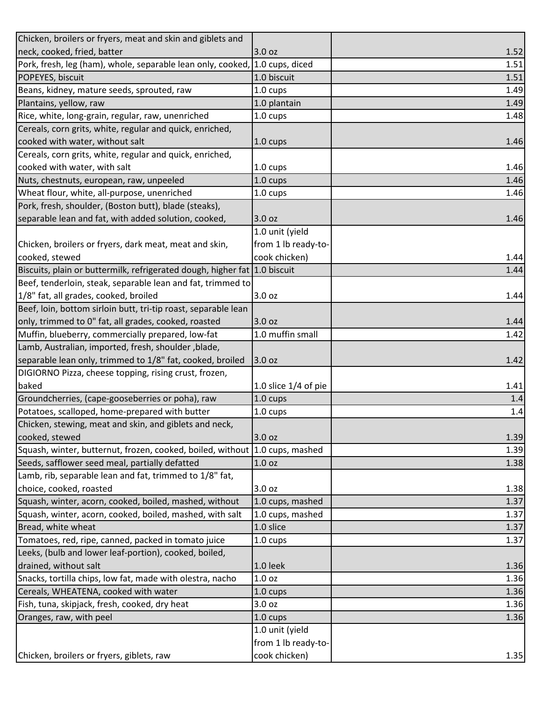| Chicken, broilers or fryers, meat and skin and giblets and                |                        |         |
|---------------------------------------------------------------------------|------------------------|---------|
| neck, cooked, fried, batter                                               | 3.0 oz                 | 1.52    |
| Pork, fresh, leg (ham), whole, separable lean only, cooked,               | 1.0 cups, diced        | 1.51    |
| POPEYES, biscuit                                                          | 1.0 biscuit            | 1.51    |
| Beans, kidney, mature seeds, sprouted, raw                                | $1.0 \text{ cups}$     | 1.49    |
| Plantains, yellow, raw                                                    | 1.0 plantain           | 1.49    |
| Rice, white, long-grain, regular, raw, unenriched                         | 1.0 cups               | 1.48    |
| Cereals, corn grits, white, regular and quick, enriched,                  |                        |         |
| cooked with water, without salt                                           | 1.0 cups               | 1.46    |
| Cereals, corn grits, white, regular and quick, enriched,                  |                        |         |
| cooked with water, with salt                                              | 1.0 cups               | 1.46    |
| Nuts, chestnuts, european, raw, unpeeled                                  | 1.0 cups               | 1.46    |
| Wheat flour, white, all-purpose, unenriched                               | 1.0 cups               | 1.46    |
| Pork, fresh, shoulder, (Boston butt), blade (steaks),                     |                        |         |
| separable lean and fat, with added solution, cooked,                      | 3.0 oz                 | 1.46    |
|                                                                           | 1.0 unit (yield        |         |
| Chicken, broilers or fryers, dark meat, meat and skin,                    | from 1 lb ready-to-    |         |
| cooked, stewed                                                            | cook chicken)          | 1.44    |
| Biscuits, plain or buttermilk, refrigerated dough, higher fat 1.0 biscuit |                        | 1.44    |
| Beef, tenderloin, steak, separable lean and fat, trimmed to               |                        |         |
| 1/8" fat, all grades, cooked, broiled                                     | 3.0 oz                 | 1.44    |
| Beef, loin, bottom sirloin butt, tri-tip roast, separable lean            |                        |         |
| only, trimmed to 0" fat, all grades, cooked, roasted                      | 3.0 oz                 | 1.44    |
| Muffin, blueberry, commercially prepared, low-fat                         | 1.0 muffin small       | 1.42    |
| Lamb, Australian, imported, fresh, shoulder, blade,                       |                        |         |
| separable lean only, trimmed to 1/8" fat, cooked, broiled                 | 3.0 oz                 | 1.42    |
| DIGIORNO Pizza, cheese topping, rising crust, frozen,                     |                        |         |
| baked                                                                     | 1.0 slice $1/4$ of pie | 1.41    |
| Groundcherries, (cape-gooseberries or poha), raw                          | 1.0 cups               | 1.4     |
| Potatoes, scalloped, home-prepared with butter                            | 1.0 cups               | $1.4\,$ |
| Chicken, stewing, meat and skin, and giblets and neck,                    |                        |         |
| cooked, stewed                                                            | 3.0 oz                 | 1.39    |
| Squash, winter, butternut, frozen, cooked, boiled, without                | 1.0 cups, mashed       | 1.39    |
| Seeds, safflower seed meal, partially defatted                            | 1.0 oz                 | 1.38    |
| Lamb, rib, separable lean and fat, trimmed to 1/8" fat,                   |                        |         |
| choice, cooked, roasted                                                   | 3.0 oz                 | 1.38    |
| Squash, winter, acorn, cooked, boiled, mashed, without                    | 1.0 cups, mashed       | 1.37    |
| Squash, winter, acorn, cooked, boiled, mashed, with salt                  | 1.0 cups, mashed       | 1.37    |
| Bread, white wheat                                                        | 1.0 slice              | 1.37    |
| Tomatoes, red, ripe, canned, packed in tomato juice                       | 1.0 cups               | 1.37    |
| Leeks, (bulb and lower leaf-portion), cooked, boiled,                     |                        |         |
| drained, without salt                                                     | 1.0 leek               | 1.36    |
| Snacks, tortilla chips, low fat, made with olestra, nacho                 | 1.0 oz                 | 1.36    |
| Cereals, WHEATENA, cooked with water                                      | 1.0 cups               | 1.36    |
| Fish, tuna, skipjack, fresh, cooked, dry heat                             | 3.0 oz                 | 1.36    |
| Oranges, raw, with peel                                                   | $1.0 \text{ cups}$     | 1.36    |
|                                                                           | 1.0 unit (yield        |         |
|                                                                           | from 1 lb ready-to-    |         |
| Chicken, broilers or fryers, giblets, raw                                 | cook chicken)          | 1.35    |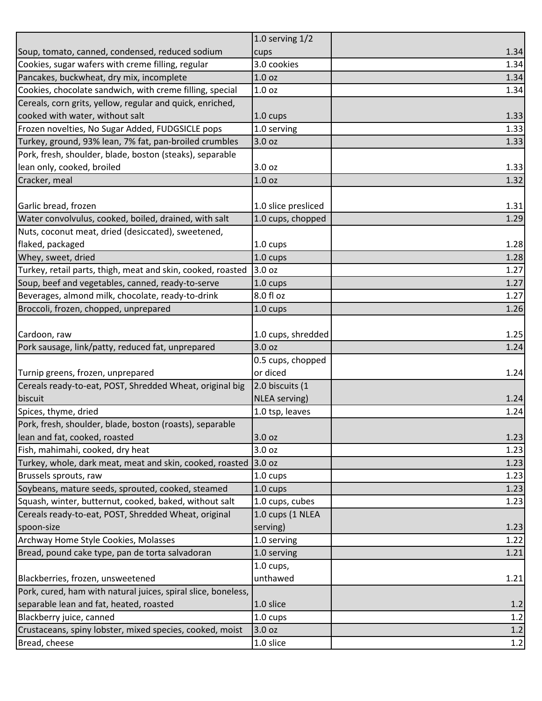|                                                               | 1.0 serving $1/2$   |        |
|---------------------------------------------------------------|---------------------|--------|
| Soup, tomato, canned, condensed, reduced sodium               | cups                | 1.34   |
| Cookies, sugar wafers with creme filling, regular             | 3.0 cookies         | 1.34   |
| Pancakes, buckwheat, dry mix, incomplete                      | 1.0 <sub>oz</sub>   | 1.34   |
| Cookies, chocolate sandwich, with creme filling, special      | 1.0 <sub>oz</sub>   | 1.34   |
| Cereals, corn grits, yellow, regular and quick, enriched,     |                     |        |
| cooked with water, without salt                               | 1.0 cups            | 1.33   |
| Frozen novelties, No Sugar Added, FUDGSICLE pops              | 1.0 serving         | 1.33   |
| Turkey, ground, 93% lean, 7% fat, pan-broiled crumbles        | 3.0 oz              | 1.33   |
| Pork, fresh, shoulder, blade, boston (steaks), separable      |                     |        |
| lean only, cooked, broiled                                    | 3.0 oz              | 1.33   |
| Cracker, meal                                                 | 1.0 <sub>oz</sub>   | $1.32$ |
|                                                               |                     |        |
| Garlic bread, frozen                                          | 1.0 slice presliced | 1.31   |
| Water convolvulus, cooked, boiled, drained, with salt         | 1.0 cups, chopped   | 1.29   |
| Nuts, coconut meat, dried (desiccated), sweetened,            |                     |        |
| flaked, packaged                                              | 1.0 cups            | 1.28   |
| Whey, sweet, dried                                            | 1.0 cups            | 1.28   |
| Turkey, retail parts, thigh, meat and skin, cooked, roasted   | 3.0 oz              | 1.27   |
| Soup, beef and vegetables, canned, ready-to-serve             | 1.0 cups            | 1.27   |
| Beverages, almond milk, chocolate, ready-to-drink             | 8.0 fl oz           | 1.27   |
| Broccoli, frozen, chopped, unprepared                         | 1.0 cups            | 1.26   |
|                                                               |                     |        |
| Cardoon, raw                                                  | 1.0 cups, shredded  | 1.25   |
| Pork sausage, link/patty, reduced fat, unprepared             | 3.0 oz              | 1.24   |
|                                                               | 0.5 cups, chopped   |        |
| Turnip greens, frozen, unprepared                             | or diced            | 1.24   |
| Cereals ready-to-eat, POST, Shredded Wheat, original big      | 2.0 biscuits (1     |        |
| biscuit                                                       | NLEA serving)       | 1.24   |
| Spices, thyme, dried                                          | 1.0 tsp, leaves     | 1.24   |
| Pork, fresh, shoulder, blade, boston (roasts), separable      |                     |        |
| lean and fat, cooked, roasted                                 | 3.0 oz              | 1.23   |
| Fish, mahimahi, cooked, dry heat                              | 3.0 oz              | 1.23   |
| Turkey, whole, dark meat, meat and skin, cooked, roasted      | 3.0 oz              | 1.23   |
| Brussels sprouts, raw                                         | 1.0 cups            | 1.23   |
| Soybeans, mature seeds, sprouted, cooked, steamed             | 1.0 cups            | 1.23   |
| Squash, winter, butternut, cooked, baked, without salt        | 1.0 cups, cubes     | 1.23   |
| Cereals ready-to-eat, POST, Shredded Wheat, original          | 1.0 cups (1 NLEA    |        |
| spoon-size                                                    | serving)            | 1.23   |
| Archway Home Style Cookies, Molasses                          | 1.0 serving         | 1.22   |
| Bread, pound cake type, pan de torta salvadoran               | 1.0 serving         | 1.21   |
|                                                               | $1.0$ cups,         |        |
| Blackberries, frozen, unsweetened                             | unthawed            | 1.21   |
| Pork, cured, ham with natural juices, spiral slice, boneless, |                     |        |
| separable lean and fat, heated, roasted                       | 1.0 slice           | 1.2    |
| Blackberry juice, canned                                      | 1.0 cups            | 1.2    |
| Crustaceans, spiny lobster, mixed species, cooked, moist      | 3.0 oz              | 1.2    |
|                                                               |                     |        |
| Bread, cheese                                                 | 1.0 slice           | 1.2    |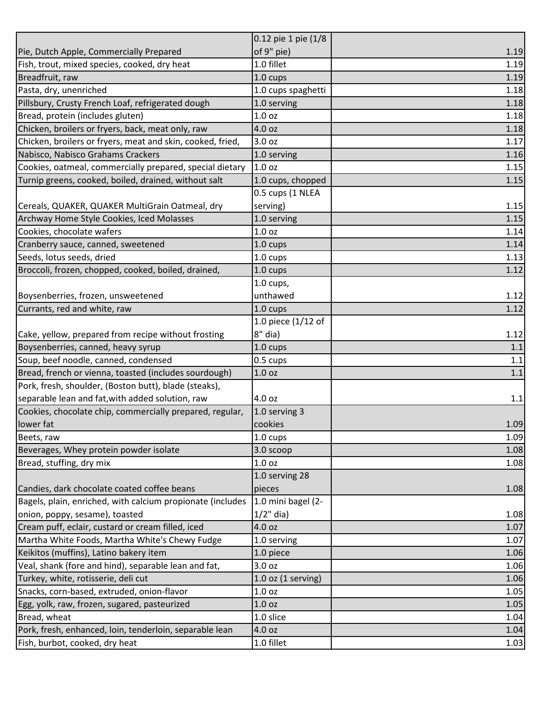|                                                            | 0.12 pie 1 pie (1/8    |         |
|------------------------------------------------------------|------------------------|---------|
| Pie, Dutch Apple, Commercially Prepared                    | of 9" pie)             | 1.19    |
| Fish, trout, mixed species, cooked, dry heat               | 1.0 fillet             | 1.19    |
| Breadfruit, raw                                            | 1.0 cups               | 1.19    |
| Pasta, dry, unenriched                                     | 1.0 cups spaghetti     | 1.18    |
| Pillsbury, Crusty French Loaf, refrigerated dough          | 1.0 serving            | 1.18    |
| Bread, protein (includes gluten)                           | 1.0 oz                 | 1.18    |
| Chicken, broilers or fryers, back, meat only, raw          | 4.0 oz                 | 1.18    |
| Chicken, broilers or fryers, meat and skin, cooked, fried, | 3.0 oz                 | 1.17    |
| Nabisco, Nabisco Grahams Crackers                          | 1.0 serving            | 1.16    |
| Cookies, oatmeal, commercially prepared, special dietary   | 1.0 <sub>oz</sub>      | 1.15    |
| Turnip greens, cooked, boiled, drained, without salt       | 1.0 cups, chopped      | 1.15    |
|                                                            | 0.5 cups (1 NLEA       |         |
| Cereals, QUAKER, QUAKER MultiGrain Oatmeal, dry            | serving)               | 1.15    |
| Archway Home Style Cookies, Iced Molasses                  | 1.0 serving            | 1.15    |
| Cookies, chocolate wafers                                  | 1.0 <sub>oz</sub>      | 1.14    |
| Cranberry sauce, canned, sweetened                         | 1.0 cups               | 1.14    |
| Seeds, lotus seeds, dried                                  | 1.0 cups               | 1.13    |
| Broccoli, frozen, chopped, cooked, boiled, drained,        | 1.0 cups               | 1.12    |
|                                                            | $1.0$ cups,            |         |
| Boysenberries, frozen, unsweetened                         | unthawed               | 1.12    |
| Currants, red and white, raw                               | 1.0 cups               | 1.12    |
|                                                            |                        |         |
|                                                            | 1.0 piece $(1/12$ of   |         |
| Cake, yellow, prepared from recipe without frosting        | 8" dia)                | 1.12    |
| Boysenberries, canned, heavy syrup                         | 1.0 cups               | 1.1     |
| Soup, beef noodle, canned, condensed                       | 0.5 cups               | 1.1     |
| Bread, french or vienna, toasted (includes sourdough)      | 1.0 oz                 | 1.1     |
| Pork, fresh, shoulder, (Boston butt), blade (steaks),      |                        |         |
| separable lean and fat, with added solution, raw           | 4.0 oz                 | $1.1\,$ |
| Cookies, chocolate chip, commercially prepared, regular,   | 1.0 serving 3          |         |
| lower fat                                                  | cookies                | 1.09    |
| Beets, raw                                                 | 1.0 cups               | 1.09    |
| Beverages, Whey protein powder isolate                     | 3.0 scoop              | 1.08    |
| Bread, stuffing, dry mix                                   | 1.0 <sub>oz</sub>      | 1.08    |
|                                                            | 1.0 serving 28         |         |
| Candies, dark chocolate coated coffee beans                | pieces                 | 1.08    |
| Bagels, plain, enriched, with calcium propionate (includes | 1.0 mini bagel (2-     |         |
| onion, poppy, sesame), toasted                             | $1/2$ " dia)           | 1.08    |
| Cream puff, eclair, custard or cream filled, iced          | 4.0 oz                 | 1.07    |
| Martha White Foods, Martha White's Chewy Fudge             | 1.0 serving            | 1.07    |
| Keikitos (muffins), Latino bakery item                     | 1.0 piece              | 1.06    |
| Veal, shank (fore and hind), separable lean and fat,       | 3.0 oz                 | 1.06    |
| Turkey, white, rotisserie, deli cut                        | $1.0$ oz $(1$ serving) | 1.06    |
| Snacks, corn-based, extruded, onion-flavor                 | 1.0 <sub>oz</sub>      | 1.05    |
| Egg, yolk, raw, frozen, sugared, pasteurized               | 1.0 oz                 | 1.05    |
| Bread, wheat                                               | 1.0 slice              | 1.04    |
| Pork, fresh, enhanced, loin, tenderloin, separable lean    | 4.0 oz                 | 1.04    |
| Fish, burbot, cooked, dry heat                             | 1.0 fillet             | 1.03    |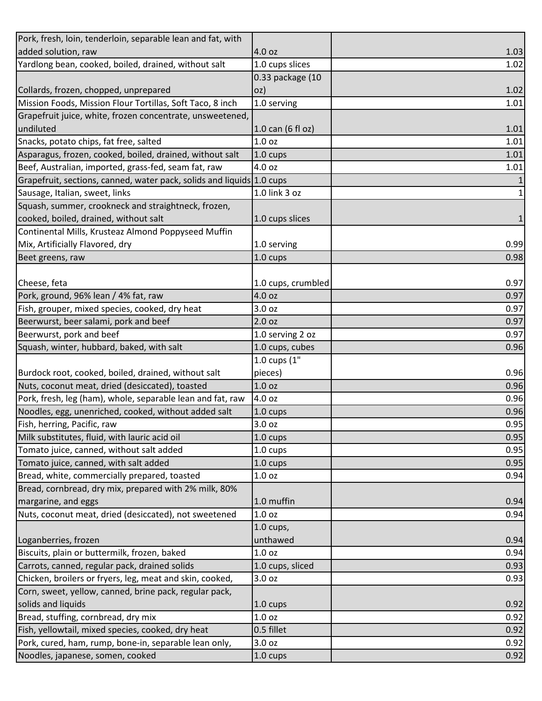| Pork, fresh, loin, tenderloin, separable lean and fat, with           |                     |              |
|-----------------------------------------------------------------------|---------------------|--------------|
| added solution, raw                                                   | 4.0 oz              | 1.03         |
| Yardlong bean, cooked, boiled, drained, without salt                  | 1.0 cups slices     | 1.02         |
|                                                                       | 0.33 package (10    |              |
| Collards, frozen, chopped, unprepared                                 | oz)                 | 1.02         |
| Mission Foods, Mission Flour Tortillas, Soft Taco, 8 inch             | 1.0 serving         | 1.01         |
| Grapefruit juice, white, frozen concentrate, unsweetened,             |                     |              |
| undiluted                                                             | $1.0$ can (6 fl oz) | 1.01         |
| Snacks, potato chips, fat free, salted                                | 1.0 <sub>oz</sub>   | 1.01         |
| Asparagus, frozen, cooked, boiled, drained, without salt              | $1.0 \text{ cups}$  | 1.01         |
| Beef, Australian, imported, grass-fed, seam fat, raw                  | 4.0 oz              | 1.01         |
| Grapefruit, sections, canned, water pack, solids and liquids 1.0 cups |                     | $\mathbf{1}$ |
| Sausage, Italian, sweet, links                                        | 1.0 link 3 oz       | $\mathbf 1$  |
| Squash, summer, crookneck and straightneck, frozen,                   |                     |              |
| cooked, boiled, drained, without salt                                 | 1.0 cups slices     | $\mathbf 1$  |
| Continental Mills, Krusteaz Almond Poppyseed Muffin                   |                     |              |
| Mix, Artificially Flavored, dry                                       | 1.0 serving         | 0.99         |
| Beet greens, raw                                                      | 1.0 cups            | 0.98         |
|                                                                       |                     |              |
| Cheese, feta                                                          | 1.0 cups, crumbled  | 0.97         |
| Pork, ground, 96% lean / 4% fat, raw                                  | 4.0 oz              | 0.97         |
| Fish, grouper, mixed species, cooked, dry heat                        | 3.0 oz              | 0.97         |
| Beerwurst, beer salami, pork and beef                                 | 2.0 oz              | 0.97         |
| Beerwurst, pork and beef                                              | 1.0 serving 2 oz    | 0.97         |
| Squash, winter, hubbard, baked, with salt                             | 1.0 cups, cubes     | 0.96         |
|                                                                       | 1.0 cups (1"        |              |
| Burdock root, cooked, boiled, drained, without salt                   | pieces)             | 0.96         |
| Nuts, coconut meat, dried (desiccated), toasted                       | 1.0 <sub>oz</sub>   | 0.96         |
| Pork, fresh, leg (ham), whole, separable lean and fat, raw            | 4.0 oz              | 0.96         |
| Noodles, egg, unenriched, cooked, without added salt                  | 1.0 cups            | 0.96         |
| Fish, herring, Pacific, raw                                           | 3.0 oz              | 0.95         |
| Milk substitutes, fluid, with lauric acid oil                         | 1.0 cups            | 0.95         |
| Tomato juice, canned, without salt added                              | 1.0 cups            | 0.95         |
| Tomato juice, canned, with salt added                                 | $1.0 \text{ cups}$  | 0.95         |
| Bread, white, commercially prepared, toasted                          | 1.0 <sub>oz</sub>   | 0.94         |
| Bread, cornbread, dry mix, prepared with 2% milk, 80%                 |                     |              |
| margarine, and eggs                                                   | 1.0 muffin          | 0.94         |
| Nuts, coconut meat, dried (desiccated), not sweetened                 | 1.0 <sub>oz</sub>   | 0.94         |
|                                                                       | $1.0$ cups,         |              |
| Loganberries, frozen                                                  | unthawed            | 0.94         |
| Biscuits, plain or buttermilk, frozen, baked                          | 1.0 <sub>oz</sub>   | 0.94         |
| Carrots, canned, regular pack, drained solids                         | 1.0 cups, sliced    | 0.93         |
| Chicken, broilers or fryers, leg, meat and skin, cooked,              | 3.0 oz              | 0.93         |
| Corn, sweet, yellow, canned, brine pack, regular pack,                |                     |              |
| solids and liquids                                                    | 1.0 cups            | 0.92         |
| Bread, stuffing, cornbread, dry mix                                   | 1.0 <sub>oz</sub>   | 0.92         |
| Fish, yellowtail, mixed species, cooked, dry heat                     | 0.5 fillet          | 0.92         |
| Pork, cured, ham, rump, bone-in, separable lean only,                 | 3.0 oz              | 0.92         |
| Noodles, japanese, somen, cooked                                      | 1.0 cups            | 0.92         |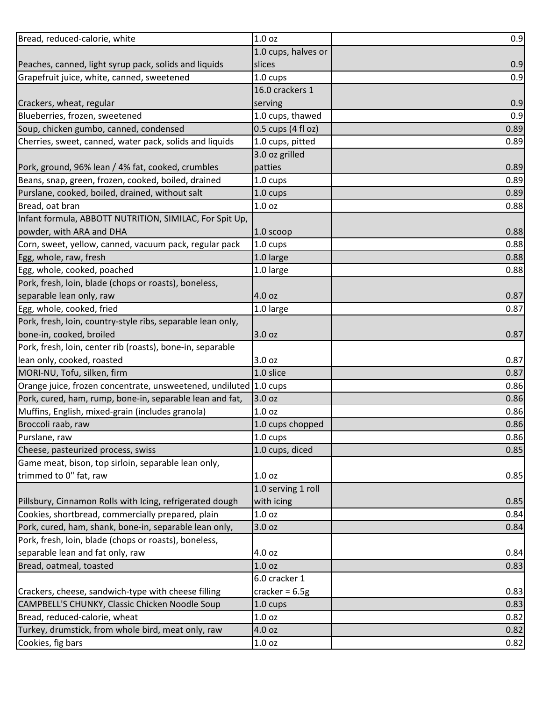| Bread, reduced-calorie, white                                     | 1.0 <sub>oz</sub>    | 0.9  |
|-------------------------------------------------------------------|----------------------|------|
|                                                                   | 1.0 cups, halves or  |      |
| Peaches, canned, light syrup pack, solids and liquids             | slices               | 0.9  |
| Grapefruit juice, white, canned, sweetened                        | 1.0 cups             | 0.9  |
|                                                                   | 16.0 crackers 1      |      |
| Crackers, wheat, regular                                          | serving              | 0.9  |
| Blueberries, frozen, sweetened                                    | 1.0 cups, thawed     | 0.9  |
| Soup, chicken gumbo, canned, condensed                            | $0.5$ cups (4 fl oz) | 0.89 |
| Cherries, sweet, canned, water pack, solids and liquids           | 1.0 cups, pitted     | 0.89 |
|                                                                   | 3.0 oz grilled       |      |
| Pork, ground, 96% lean / 4% fat, cooked, crumbles                 | patties              | 0.89 |
| Beans, snap, green, frozen, cooked, boiled, drained               | 1.0 cups             | 0.89 |
| Purslane, cooked, boiled, drained, without salt                   | $1.0 \text{ cups}$   | 0.89 |
| Bread, oat bran                                                   | 1.0 oz               | 0.88 |
| Infant formula, ABBOTT NUTRITION, SIMILAC, For Spit Up,           |                      |      |
| powder, with ARA and DHA                                          | $1.0$ scoop          | 0.88 |
| Corn, sweet, yellow, canned, vacuum pack, regular pack            | 1.0 cups             | 0.88 |
| Egg, whole, raw, fresh                                            | 1.0 large            | 0.88 |
| Egg, whole, cooked, poached                                       | 1.0 large            | 0.88 |
| Pork, fresh, loin, blade (chops or roasts), boneless,             |                      |      |
| separable lean only, raw                                          | 4.0 oz               | 0.87 |
| Egg, whole, cooked, fried                                         | 1.0 large            | 0.87 |
| Pork, fresh, loin, country-style ribs, separable lean only,       |                      |      |
| bone-in, cooked, broiled                                          | 3.0 oz               | 0.87 |
| Pork, fresh, loin, center rib (roasts), bone-in, separable        |                      |      |
| lean only, cooked, roasted                                        | 3.0 oz               | 0.87 |
| MORI-NU, Tofu, silken, firm                                       | 1.0 slice            | 0.87 |
| Orange juice, frozen concentrate, unsweetened, undiluted 1.0 cups |                      | 0.86 |
| Pork, cured, ham, rump, bone-in, separable lean and fat,          | 3.0 oz               | 0.86 |
| Muffins, English, mixed-grain (includes granola)                  | 1.0 oz               | 0.86 |
| Broccoli raab, raw                                                | 1.0 cups chopped     | 0.86 |
| Purslane, raw                                                     | 1.0 cups             | 0.86 |
| Cheese, pasteurized process, swiss                                | 1.0 cups, diced      | 0.85 |
| Game meat, bison, top sirloin, separable lean only,               |                      |      |
| trimmed to 0" fat, raw                                            | 1.0 <sub>oz</sub>    | 0.85 |
|                                                                   | 1.0 serving 1 roll   |      |
| Pillsbury, Cinnamon Rolls with Icing, refrigerated dough          | with icing           | 0.85 |
| Cookies, shortbread, commercially prepared, plain                 | 1.0 oz               | 0.84 |
| Pork, cured, ham, shank, bone-in, separable lean only,            | 3.0 oz               | 0.84 |
| Pork, fresh, loin, blade (chops or roasts), boneless,             |                      |      |
| separable lean and fat only, raw                                  | 4.0 oz               | 0.84 |
| Bread, oatmeal, toasted                                           | 1.0 oz               | 0.83 |
|                                                                   | 6.0 cracker 1        |      |
| Crackers, cheese, sandwich-type with cheese filling               | cracker = $6.5g$     | 0.83 |
| CAMPBELL'S CHUNKY, Classic Chicken Noodle Soup                    | 1.0 cups             | 0.83 |
| Bread, reduced-calorie, wheat                                     | 1.0 oz               | 0.82 |
| Turkey, drumstick, from whole bird, meat only, raw                | 4.0 oz               | 0.82 |
| Cookies, fig bars                                                 | 1.0 oz               | 0.82 |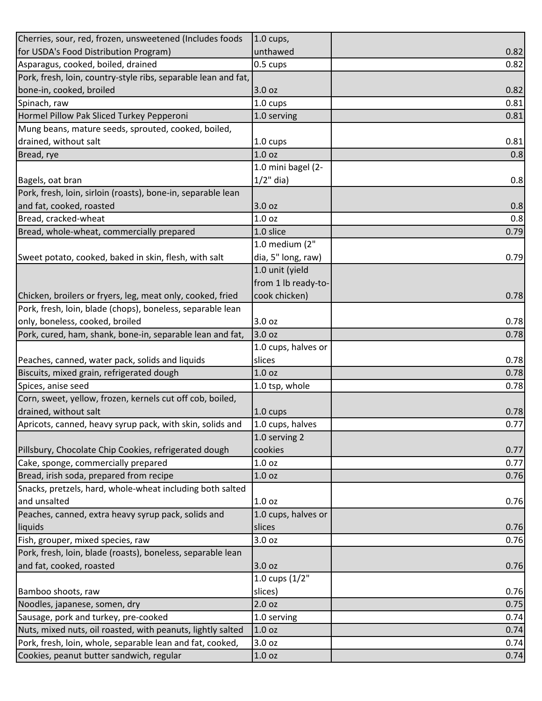| Cherries, sour, red, frozen, unsweetened (Includes foods                        | $1.0 \text{ cups}$ ,              |      |
|---------------------------------------------------------------------------------|-----------------------------------|------|
| for USDA's Food Distribution Program)                                           | unthawed                          | 0.82 |
| Asparagus, cooked, boiled, drained                                              | 0.5 cups                          | 0.82 |
| Pork, fresh, loin, country-style ribs, separable lean and fat,                  |                                   |      |
| bone-in, cooked, broiled                                                        | 3.0 oz                            | 0.82 |
| Spinach, raw                                                                    | $1.0 \text{ cups}$                | 0.81 |
| Hormel Pillow Pak Sliced Turkey Pepperoni                                       | 1.0 serving                       | 0.81 |
| Mung beans, mature seeds, sprouted, cooked, boiled,                             |                                   |      |
| drained, without salt                                                           | 1.0 cups                          | 0.81 |
| Bread, rye                                                                      | 1.0 <sub>oz</sub>                 | 0.8  |
|                                                                                 | 1.0 mini bagel (2-                |      |
| Bagels, oat bran                                                                | $1/2$ " dia)                      | 0.8  |
| Pork, fresh, loin, sirloin (roasts), bone-in, separable lean                    |                                   |      |
| and fat, cooked, roasted                                                        | 3.0 oz                            | 0.8  |
| Bread, cracked-wheat                                                            | 1.0 oz                            | 0.8  |
| Bread, whole-wheat, commercially prepared                                       | 1.0 slice                         | 0.79 |
|                                                                                 | 1.0 medium (2"                    |      |
| Sweet potato, cooked, baked in skin, flesh, with salt                           | dia, 5" long, raw)                | 0.79 |
|                                                                                 | 1.0 unit (yield                   |      |
|                                                                                 | from 1 lb ready-to-               |      |
| Chicken, broilers or fryers, leg, meat only, cooked, fried                      | cook chicken)                     | 0.78 |
| Pork, fresh, loin, blade (chops), boneless, separable lean                      |                                   |      |
| only, boneless, cooked, broiled                                                 | 3.0 oz                            | 0.78 |
| Pork, cured, ham, shank, bone-in, separable lean and fat,                       | 3.0 oz                            | 0.78 |
|                                                                                 | 1.0 cups, halves or               |      |
| Peaches, canned, water pack, solids and liquids                                 | slices                            | 0.78 |
| Biscuits, mixed grain, refrigerated dough                                       | 1.0 <sub>oz</sub>                 | 0.78 |
|                                                                                 |                                   | 0.78 |
| Spices, anise seed<br>Corn, sweet, yellow, frozen, kernels cut off cob, boiled, | 1.0 tsp, whole                    |      |
| drained, without salt                                                           |                                   | 0.78 |
|                                                                                 | 1.0 cups                          |      |
| Apricots, canned, heavy syrup pack, with skin, solids and                       | 1.0 cups, halves<br>1.0 serving 2 | 0.77 |
|                                                                                 | cookies                           |      |
| Pillsbury, Chocolate Chip Cookies, refrigerated dough                           |                                   | 0.77 |
| Cake, sponge, commercially prepared                                             | 1.0 oz                            | 0.77 |
| Bread, irish soda, prepared from recipe                                         | 1.0 oz                            | 0.76 |
| Snacks, pretzels, hard, whole-wheat including both salted                       |                                   |      |
| and unsalted                                                                    | 1.0 oz                            | 0.76 |
| Peaches, canned, extra heavy syrup pack, solids and                             | 1.0 cups, halves or               |      |
| liquids                                                                         | slices                            | 0.76 |
| Fish, grouper, mixed species, raw                                               | 3.0 oz                            | 0.76 |
| Pork, fresh, loin, blade (roasts), boneless, separable lean                     |                                   |      |
| and fat, cooked, roasted                                                        | 3.0 oz                            | 0.76 |
|                                                                                 | 1.0 cups (1/2"                    |      |
| Bamboo shoots, raw                                                              | slices)                           | 0.76 |
| Noodles, japanese, somen, dry                                                   | 2.0 oz                            | 0.75 |
| Sausage, pork and turkey, pre-cooked                                            | 1.0 serving                       | 0.74 |
| Nuts, mixed nuts, oil roasted, with peanuts, lightly salted                     | 1.0 oz                            | 0.74 |
| Pork, fresh, loin, whole, separable lean and fat, cooked,                       | 3.0 oz                            | 0.74 |
| Cookies, peanut butter sandwich, regular                                        | 1.0 oz                            | 0.74 |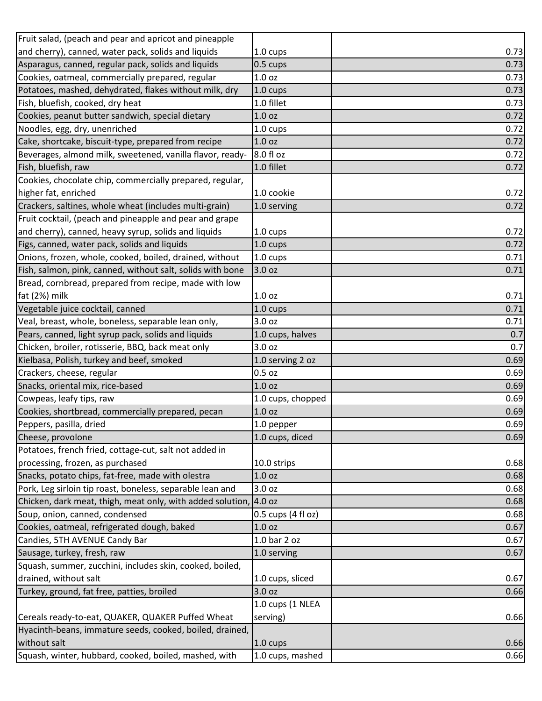| Fruit salad, (peach and pear and apricot and pineapple     |                    |      |
|------------------------------------------------------------|--------------------|------|
| and cherry), canned, water pack, solids and liquids        | 1.0 cups           | 0.73 |
| Asparagus, canned, regular pack, solids and liquids        | 0.5 cups           | 0.73 |
| Cookies, oatmeal, commercially prepared, regular           | 1.0 oz             | 0.73 |
| Potatoes, mashed, dehydrated, flakes without milk, dry     | 1.0 cups           | 0.73 |
| Fish, bluefish, cooked, dry heat                           | 1.0 fillet         | 0.73 |
| Cookies, peanut butter sandwich, special dietary           | 1.0 <sub>oz</sub>  | 0.72 |
| Noodles, egg, dry, unenriched                              | 1.0 cups           | 0.72 |
| Cake, shortcake, biscuit-type, prepared from recipe        | 1.0 oz             | 0.72 |
| Beverages, almond milk, sweetened, vanilla flavor, ready-  | 8.0 fl oz          | 0.72 |
| Fish, bluefish, raw                                        | 1.0 fillet         | 0.72 |
| Cookies, chocolate chip, commercially prepared, regular,   |                    |      |
| higher fat, enriched                                       | 1.0 cookie         | 0.72 |
| Crackers, saltines, whole wheat (includes multi-grain)     | 1.0 serving        | 0.72 |
| Fruit cocktail, (peach and pineapple and pear and grape    |                    |      |
| and cherry), canned, heavy syrup, solids and liquids       | 1.0 cups           | 0.72 |
| Figs, canned, water pack, solids and liquids               | 1.0 cups           | 0.72 |
| Onions, frozen, whole, cooked, boiled, drained, without    | $1.0 \text{ cups}$ | 0.71 |
| Fish, salmon, pink, canned, without salt, solids with bone | 3.0 oz             | 0.71 |
| Bread, cornbread, prepared from recipe, made with low      |                    |      |
| fat (2%) milk                                              | 1.0 <sub>oz</sub>  | 0.71 |
| Vegetable juice cocktail, canned                           | $1.0 \text{ cups}$ | 0.71 |
| Veal, breast, whole, boneless, separable lean only,        | 3.0 oz             | 0.71 |
| Pears, canned, light syrup pack, solids and liquids        | 1.0 cups, halves   | 0.7  |
| Chicken, broiler, rotisserie, BBQ, back meat only          | 3.0 oz             | 0.7  |
| Kielbasa, Polish, turkey and beef, smoked                  | 1.0 serving 2 oz   | 0.69 |
| Crackers, cheese, regular                                  | $0.5$ oz           | 0.69 |
| Snacks, oriental mix, rice-based                           | 1.0 <sub>oz</sub>  | 0.69 |
| Cowpeas, leafy tips, raw                                   | 1.0 cups, chopped  | 0.69 |
| Cookies, shortbread, commercially prepared, pecan          | 1.0 <sub>oz</sub>  | 0.69 |
| Peppers, pasilla, dried                                    | 1.0 pepper         | 0.69 |
| Cheese, provolone                                          | 1.0 cups, diced    | 0.69 |
| Potatoes, french fried, cottage-cut, salt not added in     |                    |      |
| processing, frozen, as purchased                           | 10.0 strips        | 0.68 |
| Snacks, potato chips, fat-free, made with olestra          | 1.0 <sub>oz</sub>  | 0.68 |
| Pork, Leg sirloin tip roast, boneless, separable lean and  | 3.0 oz             | 0.68 |
| Chicken, dark meat, thigh, meat only, with added solution, | 4.0 oz             | 0.68 |
| Soup, onion, canned, condensed                             | 0.5 cups (4 fl oz) | 0.68 |
| Cookies, oatmeal, refrigerated dough, baked                | 1.0 <sub>oz</sub>  | 0.67 |
| Candies, 5TH AVENUE Candy Bar                              | 1.0 bar 2 oz       | 0.67 |
| Sausage, turkey, fresh, raw                                | 1.0 serving        | 0.67 |
| Squash, summer, zucchini, includes skin, cooked, boiled,   |                    |      |
| drained, without salt                                      | 1.0 cups, sliced   | 0.67 |
| Turkey, ground, fat free, patties, broiled                 | 3.0 oz             | 0.66 |
|                                                            | 1.0 cups (1 NLEA   |      |
| Cereals ready-to-eat, QUAKER, QUAKER Puffed Wheat          | serving)           | 0.66 |
| Hyacinth-beans, immature seeds, cooked, boiled, drained,   |                    |      |
| without salt                                               | 1.0 cups           | 0.66 |
| Squash, winter, hubbard, cooked, boiled, mashed, with      | 1.0 cups, mashed   | 0.66 |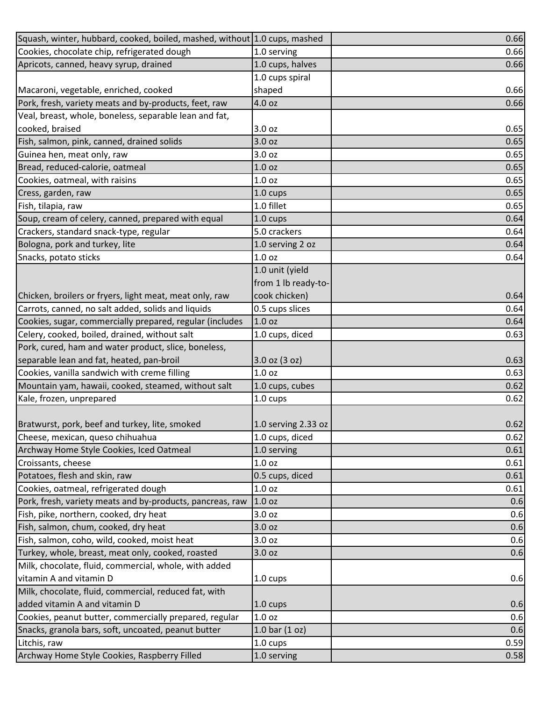| Squash, winter, hubbard, cooked, boiled, mashed, without 1.0 cups, mashed |                     | 0.66 |
|---------------------------------------------------------------------------|---------------------|------|
| Cookies, chocolate chip, refrigerated dough                               | 1.0 serving         | 0.66 |
| Apricots, canned, heavy syrup, drained                                    | 1.0 cups, halves    | 0.66 |
|                                                                           | 1.0 cups spiral     |      |
| Macaroni, vegetable, enriched, cooked                                     | shaped              | 0.66 |
| Pork, fresh, variety meats and by-products, feet, raw                     | 4.0 oz              | 0.66 |
| Veal, breast, whole, boneless, separable lean and fat,                    |                     |      |
| cooked, braised                                                           | 3.0 oz              | 0.65 |
| Fish, salmon, pink, canned, drained solids                                | 3.0 oz              | 0.65 |
| Guinea hen, meat only, raw                                                | 3.0 oz              | 0.65 |
| Bread, reduced-calorie, oatmeal                                           | 1.0 <sub>oz</sub>   | 0.65 |
| Cookies, oatmeal, with raisins                                            | 1.0 <sub>oz</sub>   | 0.65 |
| Cress, garden, raw                                                        | 1.0 cups            | 0.65 |
| Fish, tilapia, raw                                                        | 1.0 fillet          | 0.65 |
| Soup, cream of celery, canned, prepared with equal                        | 1.0 cups            | 0.64 |
| Crackers, standard snack-type, regular                                    | 5.0 crackers        | 0.64 |
| Bologna, pork and turkey, lite                                            | 1.0 serving 2 oz    | 0.64 |
| Snacks, potato sticks                                                     | 1.0 <sub>oz</sub>   | 0.64 |
|                                                                           | 1.0 unit (yield     |      |
|                                                                           | from 1 lb ready-to- |      |
| Chicken, broilers or fryers, light meat, meat only, raw                   | cook chicken)       | 0.64 |
| Carrots, canned, no salt added, solids and liquids                        | 0.5 cups slices     | 0.64 |
| Cookies, sugar, commercially prepared, regular (includes                  | 1.0 <sub>oz</sub>   | 0.64 |
| Celery, cooked, boiled, drained, without salt                             | 1.0 cups, diced     | 0.63 |
| Pork, cured, ham and water product, slice, boneless,                      |                     |      |
| separable lean and fat, heated, pan-broil                                 | $3.0$ oz $(3$ oz)   | 0.63 |
| Cookies, vanilla sandwich with creme filling                              | 1.0 <sub>oz</sub>   | 0.63 |
| Mountain yam, hawaii, cooked, steamed, without salt                       | 1.0 cups, cubes     | 0.62 |
| Kale, frozen, unprepared                                                  | $1.0 \text{ cups}$  | 0.62 |
|                                                                           |                     |      |
| Bratwurst, pork, beef and turkey, lite, smoked                            | 1.0 serving 2.33 oz | 0.62 |
| Cheese, mexican, queso chihuahua                                          | 1.0 cups, diced     | 0.62 |
| Archway Home Style Cookies, Iced Oatmeal                                  | 1.0 serving         | 0.61 |
| Croissants, cheese                                                        | 1.0 <sub>oz</sub>   | 0.61 |
| Potatoes, flesh and skin, raw                                             | 0.5 cups, diced     | 0.61 |
| Cookies, oatmeal, refrigerated dough                                      | 1.0 <sub>oz</sub>   | 0.61 |
| Pork, fresh, variety meats and by-products, pancreas, raw                 | 1.0 <sub>oz</sub>   | 0.6  |
| Fish, pike, northern, cooked, dry heat                                    | 3.0 oz              | 0.6  |
| Fish, salmon, chum, cooked, dry heat                                      | 3.0 oz              | 0.6  |
| Fish, salmon, coho, wild, cooked, moist heat                              | 3.0 oz              | 0.6  |
| Turkey, whole, breast, meat only, cooked, roasted                         | 3.0 oz              | 0.6  |
| Milk, chocolate, fluid, commercial, whole, with added                     |                     |      |
| vitamin A and vitamin D                                                   | $1.0 \text{ cups}$  | 0.6  |
| Milk, chocolate, fluid, commercial, reduced fat, with                     |                     |      |
| added vitamin A and vitamin D                                             | $1.0 \text{ cups}$  | 0.6  |
| Cookies, peanut butter, commercially prepared, regular                    | 1.0 <sub>oz</sub>   | 0.6  |
| Snacks, granola bars, soft, uncoated, peanut butter                       | 1.0 bar $(1 oz)$    | 0.6  |
| Litchis, raw                                                              | $1.0 \text{ cups}$  | 0.59 |
| Archway Home Style Cookies, Raspberry Filled                              | 1.0 serving         | 0.58 |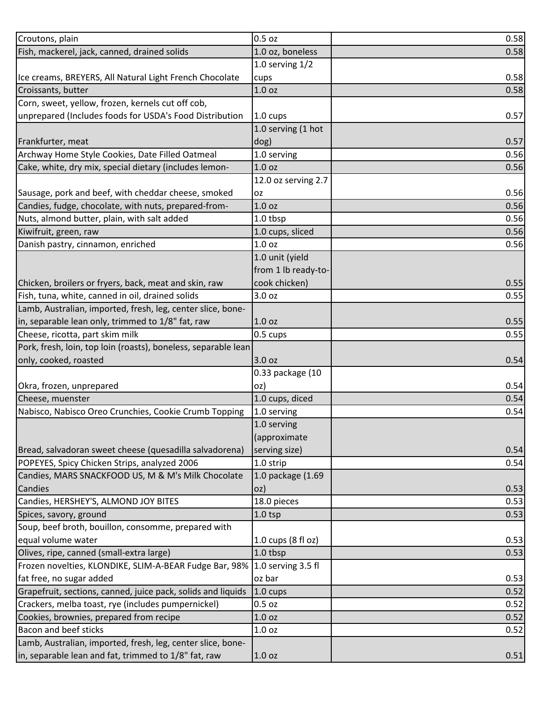| Croutons, plain                                                | 0.5 oz              | 0.58 |
|----------------------------------------------------------------|---------------------|------|
| Fish, mackerel, jack, canned, drained solids                   | 1.0 oz, boneless    | 0.58 |
|                                                                | 1.0 serving $1/2$   |      |
| Ice creams, BREYERS, All Natural Light French Chocolate        | cups                | 0.58 |
| Croissants, butter                                             | 1.0 oz              | 0.58 |
| Corn, sweet, yellow, frozen, kernels cut off cob,              |                     |      |
| unprepared (Includes foods for USDA's Food Distribution        | 1.0 cups            | 0.57 |
|                                                                | 1.0 serving (1 hot  |      |
| Frankfurter, meat                                              | dog)                | 0.57 |
| Archway Home Style Cookies, Date Filled Oatmeal                | 1.0 serving         | 0.56 |
| Cake, white, dry mix, special dietary (includes lemon-         | 1.0 <sub>oz</sub>   | 0.56 |
|                                                                | 12.0 oz serving 2.7 |      |
| Sausage, pork and beef, with cheddar cheese, smoked            | <b>OZ</b>           | 0.56 |
| Candies, fudge, chocolate, with nuts, prepared-from-           | 1.0 <sub>oz</sub>   | 0.56 |
| Nuts, almond butter, plain, with salt added                    | 1.0 tbsp            | 0.56 |
| Kiwifruit, green, raw                                          | 1.0 cups, sliced    | 0.56 |
| Danish pastry, cinnamon, enriched                              | 1.0 <sub>oz</sub>   | 0.56 |
|                                                                | 1.0 unit (yield     |      |
|                                                                | from 1 lb ready-to- |      |
| Chicken, broilers or fryers, back, meat and skin, raw          | cook chicken)       | 0.55 |
| Fish, tuna, white, canned in oil, drained solids               | 3.0 oz              | 0.55 |
| Lamb, Australian, imported, fresh, leg, center slice, bone-    |                     |      |
| in, separable lean only, trimmed to 1/8" fat, raw              | 1.0 <sub>oz</sub>   | 0.55 |
| Cheese, ricotta, part skim milk                                | 0.5 cups            | 0.55 |
| Pork, fresh, loin, top loin (roasts), boneless, separable lean |                     |      |
| only, cooked, roasted                                          | 3.0 oz              | 0.54 |
|                                                                | 0.33 package (10    |      |
| Okra, frozen, unprepared                                       | oz)                 | 0.54 |
| Cheese, muenster                                               | 1.0 cups, diced     | 0.54 |
| Nabisco, Nabisco Oreo Crunchies, Cookie Crumb Topping          | 1.0 serving         | 0.54 |
|                                                                | 1.0 serving         |      |
|                                                                | (approximate        |      |
| Bread, salvadoran sweet cheese (quesadilla salvadorena)        | serving size)       | 0.54 |
| POPEYES, Spicy Chicken Strips, analyzed 2006                   | 1.0 strip           | 0.54 |
| Candies, MARS SNACKFOOD US, M & M's Milk Chocolate             | 1.0 package (1.69   |      |
| Candies                                                        | oz)                 | 0.53 |
| Candies, HERSHEY'S, ALMOND JOY BITES                           | 18.0 pieces         | 0.53 |
| Spices, savory, ground                                         | $1.0$ tsp           | 0.53 |
| Soup, beef broth, bouillon, consomme, prepared with            |                     |      |
| equal volume water                                             | 1.0 cups (8 fl oz)  | 0.53 |
| Olives, ripe, canned (small-extra large)                       | 1.0 tbsp            | 0.53 |
| Frozen novelties, KLONDIKE, SLIM-A-BEAR Fudge Bar, 98%         | 1.0 serving 3.5 fl  |      |
| fat free, no sugar added                                       | oz bar              | 0.53 |
| Grapefruit, sections, canned, juice pack, solids and liquids   | 1.0 cups            | 0.52 |
| Crackers, melba toast, rye (includes pumpernickel)             | $0.5$ oz            | 0.52 |
| Cookies, brownies, prepared from recipe                        | 1.0 oz              | 0.52 |
| Bacon and beef sticks                                          | 1.0 <sub>oz</sub>   | 0.52 |
| Lamb, Australian, imported, fresh, leg, center slice, bone-    |                     |      |
| in, separable lean and fat, trimmed to 1/8" fat, raw           | 1.0 <sub>oz</sub>   | 0.51 |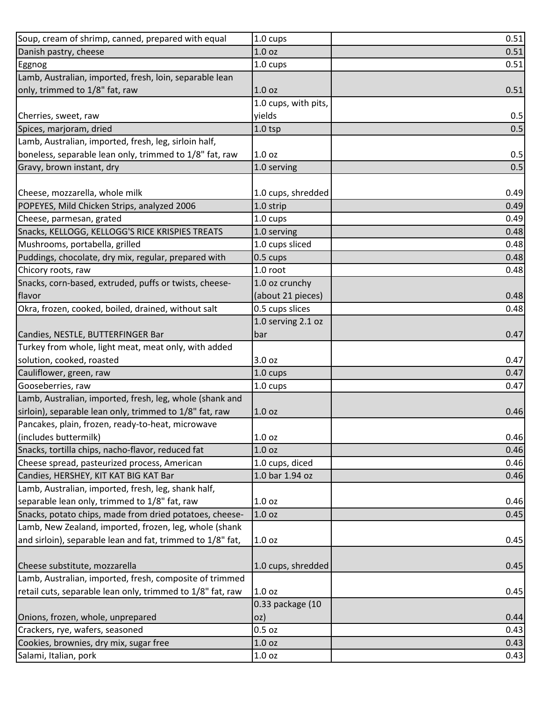| Soup, cream of shrimp, canned, prepared with equal         | 1.0 cups             | 0.51 |
|------------------------------------------------------------|----------------------|------|
| Danish pastry, cheese                                      | 1.0 oz               | 0.51 |
| Eggnog                                                     | 1.0 cups             | 0.51 |
| Lamb, Australian, imported, fresh, loin, separable lean    |                      |      |
| only, trimmed to 1/8" fat, raw                             | 1.0 <sub>oz</sub>    | 0.51 |
|                                                            | 1.0 cups, with pits, |      |
| Cherries, sweet, raw                                       | yields               | 0.5  |
| Spices, marjoram, dried                                    | $1.0$ tsp            | 0.5  |
| Lamb, Australian, imported, fresh, leg, sirloin half,      |                      |      |
| boneless, separable lean only, trimmed to 1/8" fat, raw    | 1.0 oz               | 0.5  |
| Gravy, brown instant, dry                                  | 1.0 serving          | 0.5  |
|                                                            |                      |      |
| Cheese, mozzarella, whole milk                             | 1.0 cups, shredded   | 0.49 |
| POPEYES, Mild Chicken Strips, analyzed 2006                | 1.0 strip            | 0.49 |
| Cheese, parmesan, grated                                   | $1.0 \text{ cups}$   | 0.49 |
| Snacks, KELLOGG, KELLOGG'S RICE KRISPIES TREATS            | 1.0 serving          | 0.48 |
| Mushrooms, portabella, grilled                             | 1.0 cups sliced      | 0.48 |
| Puddings, chocolate, dry mix, regular, prepared with       | 0.5 cups             | 0.48 |
| Chicory roots, raw                                         | 1.0 root             | 0.48 |
| Snacks, corn-based, extruded, puffs or twists, cheese-     | 1.0 oz crunchy       |      |
| flavor                                                     | (about 21 pieces)    | 0.48 |
| Okra, frozen, cooked, boiled, drained, without salt        | 0.5 cups slices      | 0.48 |
|                                                            | 1.0 serving 2.1 oz   |      |
| Candies, NESTLE, BUTTERFINGER Bar                          | bar                  | 0.47 |
| Turkey from whole, light meat, meat only, with added       |                      |      |
| solution, cooked, roasted                                  | 3.0 oz               | 0.47 |
| Cauliflower, green, raw                                    | 1.0 cups             | 0.47 |
| Gooseberries, raw                                          | 1.0 cups             | 0.47 |
| Lamb, Australian, imported, fresh, leg, whole (shank and   |                      |      |
| sirloin), separable lean only, trimmed to 1/8" fat, raw    | 1.0 oz               | 0.46 |
| Pancakes, plain, frozen, ready-to-heat, microwave          |                      |      |
| (includes buttermilk)                                      | 1.0 oz               | 0.46 |
| Snacks, tortilla chips, nacho-flavor, reduced fat          | 1.0 oz               | 0.46 |
| Cheese spread, pasteurized process, American               | 1.0 cups, diced      | 0.46 |
| Candies, HERSHEY, KIT KAT BIG KAT Bar                      | 1.0 bar 1.94 oz      | 0.46 |
| Lamb, Australian, imported, fresh, leg, shank half,        |                      |      |
| separable lean only, trimmed to 1/8" fat, raw              | 1.0 oz               | 0.46 |
| Snacks, potato chips, made from dried potatoes, cheese-    | 1.0 <sub>oz</sub>    | 0.45 |
| Lamb, New Zealand, imported, frozen, leg, whole (shank     |                      |      |
| and sirloin), separable lean and fat, trimmed to 1/8" fat, | 1.0 oz               | 0.45 |
|                                                            |                      |      |
| Cheese substitute, mozzarella                              | 1.0 cups, shredded   | 0.45 |
| Lamb, Australian, imported, fresh, composite of trimmed    |                      |      |
| retail cuts, separable lean only, trimmed to 1/8" fat, raw | 1.0 <sub>oz</sub>    | 0.45 |
|                                                            | 0.33 package (10     |      |
| Onions, frozen, whole, unprepared                          | oz)                  | 0.44 |
| Crackers, rye, wafers, seasoned                            | $0.5$ oz             | 0.43 |
| Cookies, brownies, dry mix, sugar free                     | 1.0 oz               | 0.43 |
| Salami, Italian, pork                                      | 1.0 oz               | 0.43 |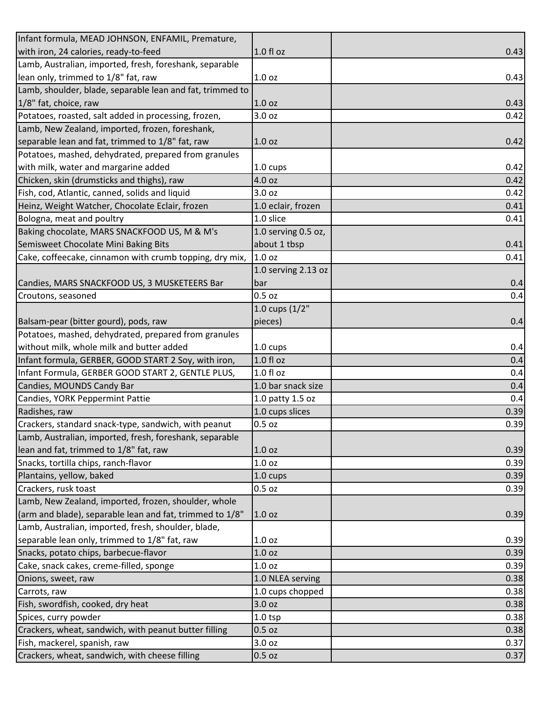| Infant formula, MEAD JOHNSON, ENFAMIL, Premature,         |                     |      |
|-----------------------------------------------------------|---------------------|------|
| with iron, 24 calories, ready-to-feed                     | $1.0 f$ l oz        | 0.43 |
| Lamb, Australian, imported, fresh, foreshank, separable   |                     |      |
| lean only, trimmed to 1/8" fat, raw                       | 1.0 <sub>oz</sub>   | 0.43 |
| Lamb, shoulder, blade, separable lean and fat, trimmed to |                     |      |
| 1/8" fat, choice, raw                                     | 1.0 oz              | 0.43 |
| Potatoes, roasted, salt added in processing, frozen,      | 3.0 oz              | 0.42 |
| Lamb, New Zealand, imported, frozen, foreshank,           |                     |      |
| separable lean and fat, trimmed to 1/8" fat, raw          | 1.0 oz              | 0.42 |
| Potatoes, mashed, dehydrated, prepared from granules      |                     |      |
| with milk, water and margarine added                      | 1.0 cups            | 0.42 |
| Chicken, skin (drumsticks and thighs), raw                | 4.0 oz              | 0.42 |
| Fish, cod, Atlantic, canned, solids and liquid            | 3.0 oz              | 0.42 |
| Heinz, Weight Watcher, Chocolate Eclair, frozen           | 1.0 eclair, frozen  | 0.41 |
| Bologna, meat and poultry                                 | 1.0 slice           | 0.41 |
| Baking chocolate, MARS SNACKFOOD US, M & M's              | 1.0 serving 0.5 oz, |      |
| Semisweet Chocolate Mini Baking Bits                      | about 1 tbsp        | 0.41 |
| Cake, coffeecake, cinnamon with crumb topping, dry mix,   | 1.0 <sub>oz</sub>   | 0.41 |
|                                                           | 1.0 serving 2.13 oz |      |
| Candies, MARS SNACKFOOD US, 3 MUSKETEERS Bar              | bar                 | 0.4  |
| Croutons, seasoned                                        | $0.5$ oz            | 0.4  |
|                                                           | 1.0 cups $(1/2"$    |      |
| Balsam-pear (bitter gourd), pods, raw                     | pieces)             | 0.4  |
| Potatoes, mashed, dehydrated, prepared from granules      |                     |      |
| without milk, whole milk and butter added                 | 1.0 cups            | 0.4  |
| Infant formula, GERBER, GOOD START 2 Soy, with iron,      | 1.0 fl oz           | 0.4  |
| Infant Formula, GERBER GOOD START 2, GENTLE PLUS,         | 1.0 f1 oz           | 0.4  |
| Candies, MOUNDS Candy Bar                                 | 1.0 bar snack size  | 0.4  |
| Candies, YORK Peppermint Pattie                           | 1.0 patty 1.5 oz    | 0.4  |
| Radishes, raw                                             | 1.0 cups slices     | 0.39 |
| Crackers, standard snack-type, sandwich, with peanut      | $0.5$ oz            | 0.39 |
| Lamb, Australian, imported, fresh, foreshank, separable   |                     |      |
| lean and fat, trimmed to 1/8" fat, raw                    | 1.0 <sub>oz</sub>   | 0.39 |
| Snacks, tortilla chips, ranch-flavor                      | 1.0 oz              | 0.39 |
| Plantains, yellow, baked                                  | 1.0 cups            | 0.39 |
| Crackers, rusk toast                                      | $0.5$ oz            | 0.39 |
| Lamb, New Zealand, imported, frozen, shoulder, whole      |                     |      |
| (arm and blade), separable lean and fat, trimmed to 1/8"  | 1.0 <sub>oz</sub>   | 0.39 |
| Lamb, Australian, imported, fresh, shoulder, blade,       |                     |      |
| separable lean only, trimmed to 1/8" fat, raw             | 1.0 oz              | 0.39 |
| Snacks, potato chips, barbecue-flavor                     | 1.0 <sub>oz</sub>   | 0.39 |
| Cake, snack cakes, creme-filled, sponge                   | 1.0 <sub>oz</sub>   | 0.39 |
| Onions, sweet, raw                                        | 1.0 NLEA serving    | 0.38 |
| Carrots, raw                                              | 1.0 cups chopped    | 0.38 |
| Fish, swordfish, cooked, dry heat                         | 3.0 oz              | 0.38 |
| Spices, curry powder                                      | $1.0$ tsp           | 0.38 |
| Crackers, wheat, sandwich, with peanut butter filling     | $0.5$ oz            | 0.38 |
| Fish, mackerel, spanish, raw                              | 3.0 oz              | 0.37 |
| Crackers, wheat, sandwich, with cheese filling            | $0.5$ oz            | 0.37 |
|                                                           |                     |      |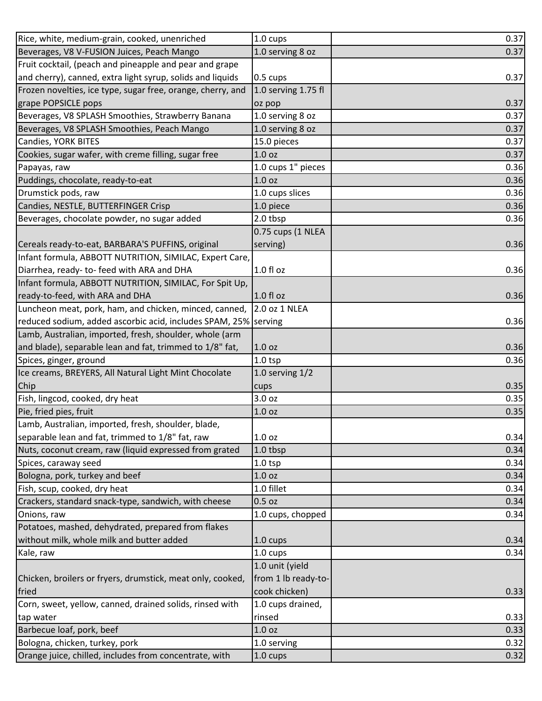| Rice, white, medium-grain, cooked, unenriched                   | $1.0 \text{ cups}$  | 0.37 |
|-----------------------------------------------------------------|---------------------|------|
| Beverages, V8 V-FUSION Juices, Peach Mango                      | 1.0 serving 8 oz    | 0.37 |
| Fruit cocktail, (peach and pineapple and pear and grape         |                     |      |
| and cherry), canned, extra light syrup, solids and liquids      | 0.5 cups            | 0.37 |
| Frozen novelties, ice type, sugar free, orange, cherry, and     | 1.0 serving 1.75 fl |      |
| grape POPSICLE pops                                             | oz pop              | 0.37 |
| Beverages, V8 SPLASH Smoothies, Strawberry Banana               | 1.0 serving 8 oz    | 0.37 |
| Beverages, V8 SPLASH Smoothies, Peach Mango                     | 1.0 serving 8 oz    | 0.37 |
| Candies, YORK BITES                                             | 15.0 pieces         | 0.37 |
| Cookies, sugar wafer, with creme filling, sugar free            | 1.0 <sub>oz</sub>   | 0.37 |
| Papayas, raw                                                    | 1.0 cups 1" pieces  | 0.36 |
| Puddings, chocolate, ready-to-eat                               | 1.0 oz              | 0.36 |
| Drumstick pods, raw                                             | 1.0 cups slices     | 0.36 |
| Candies, NESTLE, BUTTERFINGER Crisp                             | 1.0 piece           | 0.36 |
| Beverages, chocolate powder, no sugar added                     | 2.0 tbsp            | 0.36 |
|                                                                 | 0.75 cups (1 NLEA   |      |
| Cereals ready-to-eat, BARBARA'S PUFFINS, original               | serving)            | 0.36 |
| Infant formula, ABBOTT NUTRITION, SIMILAC, Expert Care,         |                     |      |
| Diarrhea, ready- to- feed with ARA and DHA                      | $1.0 f$ l oz        | 0.36 |
| Infant formula, ABBOTT NUTRITION, SIMILAC, For Spit Up,         |                     |      |
| ready-to-feed, with ARA and DHA                                 | 1.0 fl oz           | 0.36 |
| Luncheon meat, pork, ham, and chicken, minced, canned,          | 2.0 oz 1 NLEA       |      |
| reduced sodium, added ascorbic acid, includes SPAM, 25% serving |                     | 0.36 |
| Lamb, Australian, imported, fresh, shoulder, whole (arm         |                     |      |
| and blade), separable lean and fat, trimmed to 1/8" fat,        | 1.0 <sub>oz</sub>   | 0.36 |
| Spices, ginger, ground                                          | $1.0$ tsp           | 0.36 |
| Ice creams, BREYERS, All Natural Light Mint Chocolate           | 1.0 serving $1/2$   |      |
| Chip                                                            | cups                | 0.35 |
| Fish, lingcod, cooked, dry heat                                 | 3.0 oz              | 0.35 |
| Pie, fried pies, fruit                                          | 1.0 oz              | 0.35 |
| Lamb, Australian, imported, fresh, shoulder, blade,             |                     |      |
| separable lean and fat, trimmed to 1/8" fat, raw                | 1.0 oz              | 0.34 |
| Nuts, coconut cream, raw (liquid expressed from grated          | 1.0 tbsp            | 0.34 |
| Spices, caraway seed                                            | $1.0$ tsp           | 0.34 |
| Bologna, pork, turkey and beef                                  | 1.0 oz              | 0.34 |
| Fish, scup, cooked, dry heat                                    | 1.0 fillet          | 0.34 |
| Crackers, standard snack-type, sandwich, with cheese            | $0.5$ oz            | 0.34 |
| Onions, raw                                                     | 1.0 cups, chopped   | 0.34 |
| Potatoes, mashed, dehydrated, prepared from flakes              |                     |      |
| without milk, whole milk and butter added                       | $1.0 \text{ cups}$  | 0.34 |
| Kale, raw                                                       | 1.0 cups            | 0.34 |
|                                                                 | 1.0 unit (yield     |      |
| Chicken, broilers or fryers, drumstick, meat only, cooked,      | from 1 lb ready-to- |      |
| fried                                                           | cook chicken)       | 0.33 |
| Corn, sweet, yellow, canned, drained solids, rinsed with        | 1.0 cups drained,   |      |
| tap water                                                       | rinsed              | 0.33 |
| Barbecue loaf, pork, beef                                       | 1.0 oz              | 0.33 |
| Bologna, chicken, turkey, pork                                  | 1.0 serving         | 0.32 |
| Orange juice, chilled, includes from concentrate, with          | 1.0 cups            | 0.32 |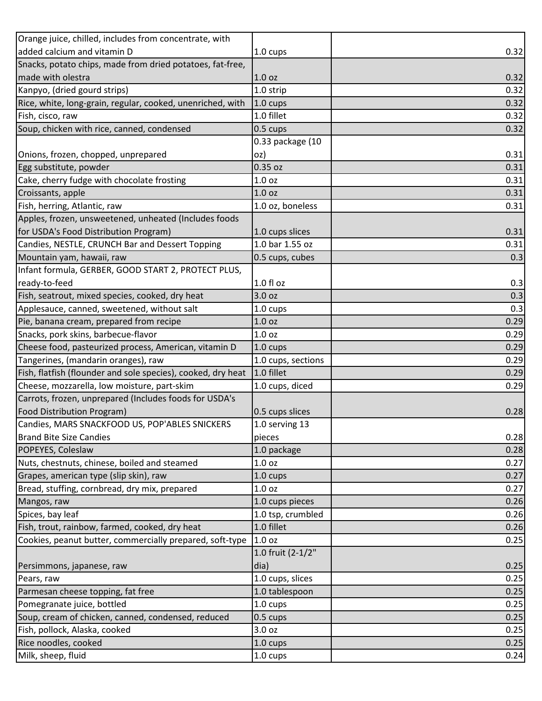| Orange juice, chilled, includes from concentrate, with       |                    |      |
|--------------------------------------------------------------|--------------------|------|
| added calcium and vitamin D                                  | 1.0 cups           | 0.32 |
| Snacks, potato chips, made from dried potatoes, fat-free,    |                    |      |
| made with olestra                                            | 1.0 <sub>oz</sub>  | 0.32 |
| Kanpyo, (dried gourd strips)                                 | 1.0 strip          | 0.32 |
| Rice, white, long-grain, regular, cooked, unenriched, with   | 1.0 cups           | 0.32 |
| Fish, cisco, raw                                             | 1.0 fillet         | 0.32 |
| Soup, chicken with rice, canned, condensed                   | 0.5 cups           | 0.32 |
|                                                              | 0.33 package (10   |      |
| Onions, frozen, chopped, unprepared                          | oz)                | 0.31 |
| Egg substitute, powder                                       | 0.35 oz            | 0.31 |
| Cake, cherry fudge with chocolate frosting                   | 1.0 <sub>oz</sub>  | 0.31 |
| Croissants, apple                                            | 1.0 <sub>oz</sub>  | 0.31 |
| Fish, herring, Atlantic, raw                                 | 1.0 oz, boneless   | 0.31 |
| Apples, frozen, unsweetened, unheated (Includes foods        |                    |      |
| for USDA's Food Distribution Program)                        | 1.0 cups slices    | 0.31 |
| Candies, NESTLE, CRUNCH Bar and Dessert Topping              | 1.0 bar 1.55 oz    | 0.31 |
| Mountain yam, hawaii, raw                                    | 0.5 cups, cubes    | 0.3  |
| Infant formula, GERBER, GOOD START 2, PROTECT PLUS,          |                    |      |
| ready-to-feed                                                | $1.0 f$ l oz       | 0.3  |
| Fish, seatrout, mixed species, cooked, dry heat              | 3.0 oz             | 0.3  |
| Applesauce, canned, sweetened, without salt                  | $1.0 \text{ cups}$ | 0.3  |
| Pie, banana cream, prepared from recipe                      | 1.0 <sub>oz</sub>  | 0.29 |
| Snacks, pork skins, barbecue-flavor                          | 1.0 <sub>oz</sub>  | 0.29 |
| Cheese food, pasteurized process, American, vitamin D        | 1.0 cups           | 0.29 |
| Tangerines, (mandarin oranges), raw                          | 1.0 cups, sections | 0.29 |
| Fish, flatfish (flounder and sole species), cooked, dry heat | 1.0 fillet         | 0.29 |
| Cheese, mozzarella, low moisture, part-skim                  | 1.0 cups, diced    | 0.29 |
| Carrots, frozen, unprepared (Includes foods for USDA's       |                    |      |
| Food Distribution Program)                                   | 0.5 cups slices    | 0.28 |
| Candies, MARS SNACKFOOD US, POP'ABLES SNICKERS               | 1.0 serving 13     |      |
| <b>Brand Bite Size Candies</b>                               | pieces             | 0.28 |
| POPEYES, Coleslaw                                            | 1.0 package        | 0.28 |
| Nuts, chestnuts, chinese, boiled and steamed                 | 1.0 oz             | 0.27 |
| Grapes, american type (slip skin), raw                       | 1.0 cups           | 0.27 |
| Bread, stuffing, cornbread, dry mix, prepared                | 1.0 <sub>oz</sub>  | 0.27 |
| Mangos, raw                                                  | 1.0 cups pieces    | 0.26 |
| Spices, bay leaf                                             | 1.0 tsp, crumbled  | 0.26 |
| Fish, trout, rainbow, farmed, cooked, dry heat               | 1.0 fillet         | 0.26 |
| Cookies, peanut butter, commercially prepared, soft-type     | 1.0 oz             | 0.25 |
|                                                              | 1.0 fruit (2-1/2"  |      |
| Persimmons, japanese, raw                                    | dia)               | 0.25 |
| Pears, raw                                                   | 1.0 cups, slices   | 0.25 |
| Parmesan cheese topping, fat free                            | 1.0 tablespoon     | 0.25 |
| Pomegranate juice, bottled                                   | 1.0 cups           | 0.25 |
| Soup, cream of chicken, canned, condensed, reduced           | 0.5 cups           | 0.25 |
| Fish, pollock, Alaska, cooked                                | 3.0 oz             | 0.25 |
| Rice noodles, cooked                                         | 1.0 cups           | 0.25 |
| Milk, sheep, fluid                                           | 1.0 cups           | 0.24 |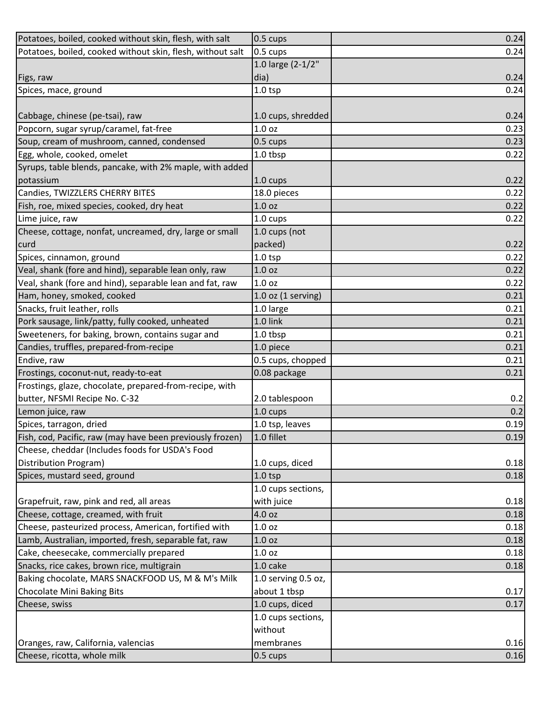| Potatoes, boiled, cooked without skin, flesh, with salt    | 0.5 cups               | 0.24 |
|------------------------------------------------------------|------------------------|------|
| Potatoes, boiled, cooked without skin, flesh, without salt | 0.5 cups               | 0.24 |
|                                                            | 1.0 large (2-1/2"      |      |
| Figs, raw                                                  | dia)                   | 0.24 |
| Spices, mace, ground                                       | $1.0$ tsp              | 0.24 |
|                                                            |                        |      |
| Cabbage, chinese (pe-tsai), raw                            | 1.0 cups, shredded     | 0.24 |
| Popcorn, sugar syrup/caramel, fat-free                     | 1.0 <sub>oz</sub>      | 0.23 |
| Soup, cream of mushroom, canned, condensed                 | 0.5 cups               | 0.23 |
| Egg, whole, cooked, omelet                                 | 1.0 tbsp               | 0.22 |
| Syrups, table blends, pancake, with 2% maple, with added   |                        |      |
| potassium                                                  | 1.0 cups               | 0.22 |
| Candies, TWIZZLERS CHERRY BITES                            | 18.0 pieces            | 0.22 |
| Fish, roe, mixed species, cooked, dry heat                 | 1.0 oz                 | 0.22 |
| Lime juice, raw                                            | 1.0 cups               | 0.22 |
| Cheese, cottage, nonfat, uncreamed, dry, large or small    | 1.0 cups (not          |      |
| curd                                                       | packed)                | 0.22 |
| Spices, cinnamon, ground                                   | $1.0$ tsp              | 0.22 |
| Veal, shank (fore and hind), separable lean only, raw      | 1.0 oz                 | 0.22 |
| Veal, shank (fore and hind), separable lean and fat, raw   | 1.0 oz                 | 0.22 |
| Ham, honey, smoked, cooked                                 | $1.0$ oz $(1$ serving) | 0.21 |
| Snacks, fruit leather, rolls                               | 1.0 large              | 0.21 |
| Pork sausage, link/patty, fully cooked, unheated           | 1.0 link               | 0.21 |
| Sweeteners, for baking, brown, contains sugar and          | 1.0 tbsp               | 0.21 |
| Candies, truffles, prepared-from-recipe                    | 1.0 piece              | 0.21 |
| Endive, raw                                                | 0.5 cups, chopped      | 0.21 |
| Frostings, coconut-nut, ready-to-eat                       | 0.08 package           | 0.21 |
| Frostings, glaze, chocolate, prepared-from-recipe, with    |                        |      |
| butter, NFSMI Recipe No. C-32                              | 2.0 tablespoon         | 0.2  |
| Lemon juice, raw                                           | 1.0 cups               | 0.2  |
| Spices, tarragon, dried                                    | 1.0 tsp, leaves        | 0.19 |
| Fish, cod, Pacific, raw (may have been previously frozen)  | 1.0 fillet             | 0.19 |
| Cheese, cheddar (Includes foods for USDA's Food            |                        |      |
| Distribution Program)                                      | 1.0 cups, diced        | 0.18 |
| Spices, mustard seed, ground                               | $1.0$ tsp              | 0.18 |
|                                                            | 1.0 cups sections,     |      |
| Grapefruit, raw, pink and red, all areas                   | with juice             | 0.18 |
| Cheese, cottage, creamed, with fruit                       | 4.0 oz                 | 0.18 |
| Cheese, pasteurized process, American, fortified with      | 1.0 <sub>oz</sub>      | 0.18 |
| Lamb, Australian, imported, fresh, separable fat, raw      | 1.0 <sub>oz</sub>      | 0.18 |
| Cake, cheesecake, commercially prepared                    | 1.0 oz                 | 0.18 |
| Snacks, rice cakes, brown rice, multigrain                 | 1.0 cake               | 0.18 |
| Baking chocolate, MARS SNACKFOOD US, M & M's Milk          | 1.0 serving 0.5 oz,    |      |
| Chocolate Mini Baking Bits                                 | about 1 tbsp           | 0.17 |
| Cheese, swiss                                              | 1.0 cups, diced        | 0.17 |
|                                                            | 1.0 cups sections,     |      |
|                                                            | without                |      |
| Oranges, raw, California, valencias                        | membranes              | 0.16 |
| Cheese, ricotta, whole milk                                | 0.5 cups               | 0.16 |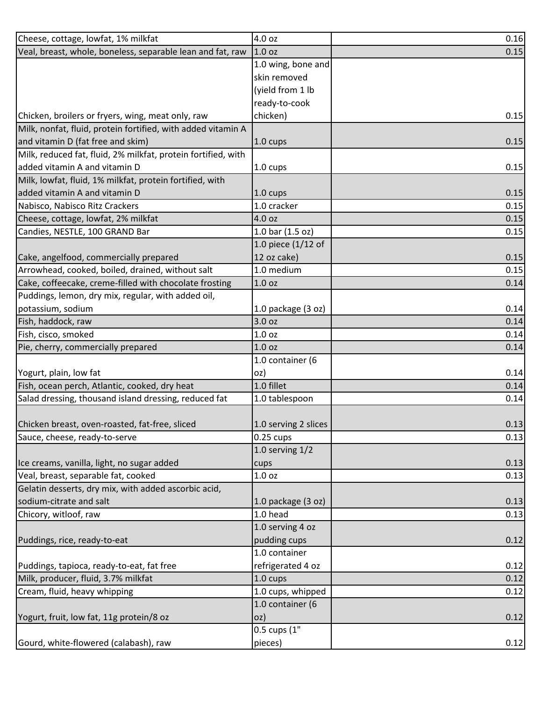| Cheese, cottage, lowfat, 1% milkfat                           | 4.0 oz                         | 0.16 |
|---------------------------------------------------------------|--------------------------------|------|
| Veal, breast, whole, boneless, separable lean and fat, raw    | 1.0 <sub>oz</sub>              | 0.15 |
|                                                               | 1.0 wing, bone and             |      |
|                                                               | skin removed                   |      |
|                                                               | (yield from 1 lb               |      |
|                                                               | ready-to-cook                  |      |
| Chicken, broilers or fryers, wing, meat only, raw             | chicken)                       | 0.15 |
| Milk, nonfat, fluid, protein fortified, with added vitamin A  |                                |      |
| and vitamin D (fat free and skim)                             | 1.0 cups                       | 0.15 |
| Milk, reduced fat, fluid, 2% milkfat, protein fortified, with |                                |      |
| added vitamin A and vitamin D                                 | 1.0 cups                       | 0.15 |
| Milk, lowfat, fluid, 1% milkfat, protein fortified, with      |                                |      |
| added vitamin A and vitamin D                                 | 1.0 cups                       | 0.15 |
| Nabisco, Nabisco Ritz Crackers                                | 1.0 cracker                    | 0.15 |
| Cheese, cottage, lowfat, 2% milkfat                           | 4.0 oz                         | 0.15 |
| Candies, NESTLE, 100 GRAND Bar                                | 1.0 bar (1.5 oz)               | 0.15 |
|                                                               | 1.0 piece (1/12 of             |      |
| Cake, angelfood, commercially prepared                        | 12 oz cake)                    | 0.15 |
| Arrowhead, cooked, boiled, drained, without salt              | 1.0 medium                     | 0.15 |
| Cake, coffeecake, creme-filled with chocolate frosting        | 1.0 oz                         | 0.14 |
| Puddings, lemon, dry mix, regular, with added oil,            |                                |      |
| potassium, sodium                                             | 1.0 package (3 oz)             | 0.14 |
| Fish, haddock, raw                                            | 3.0 oz                         | 0.14 |
| Fish, cisco, smoked                                           | 1.0 oz                         | 0.14 |
| Pie, cherry, commercially prepared                            | 1.0 oz                         | 0.14 |
|                                                               | 1.0 container (6               |      |
| Yogurt, plain, low fat                                        | oz)                            | 0.14 |
| Fish, ocean perch, Atlantic, cooked, dry heat                 | 1.0 fillet                     | 0.14 |
| Salad dressing, thousand island dressing, reduced fat         | 1.0 tablespoon                 | 0.14 |
|                                                               |                                |      |
| Chicken breast, oven-roasted, fat-free, sliced                | 1.0 serving 2 slices           | 0.13 |
| Sauce, cheese, ready-to-serve                                 | $0.25$ cups                    | 0.13 |
|                                                               | 1.0 serving $1/2$              |      |
| Ice creams, vanilla, light, no sugar added                    |                                | 0.13 |
| Veal, breast, separable fat, cooked                           | cups<br>1.0 oz                 | 0.13 |
| Gelatin desserts, dry mix, with added ascorbic acid,          |                                |      |
| sodium-citrate and salt                                       |                                | 0.13 |
| Chicory, witloof, raw                                         | 1.0 package (3 oz)<br>1.0 head | 0.13 |
|                                                               | 1.0 serving 4 oz               |      |
|                                                               |                                |      |
| Puddings, rice, ready-to-eat                                  | pudding cups                   | 0.12 |
|                                                               | 1.0 container                  |      |
| Puddings, tapioca, ready-to-eat, fat free                     | refrigerated 4 oz              | 0.12 |
| Milk, producer, fluid, 3.7% milkfat                           | 1.0 cups                       | 0.12 |
| Cream, fluid, heavy whipping                                  | 1.0 cups, whipped              | 0.12 |
|                                                               | 1.0 container (6               |      |
| Yogurt, fruit, low fat, 11g protein/8 oz                      | oz)                            | 0.12 |
|                                                               | 0.5 cups (1"                   |      |
| Gourd, white-flowered (calabash), raw                         | pieces)                        | 0.12 |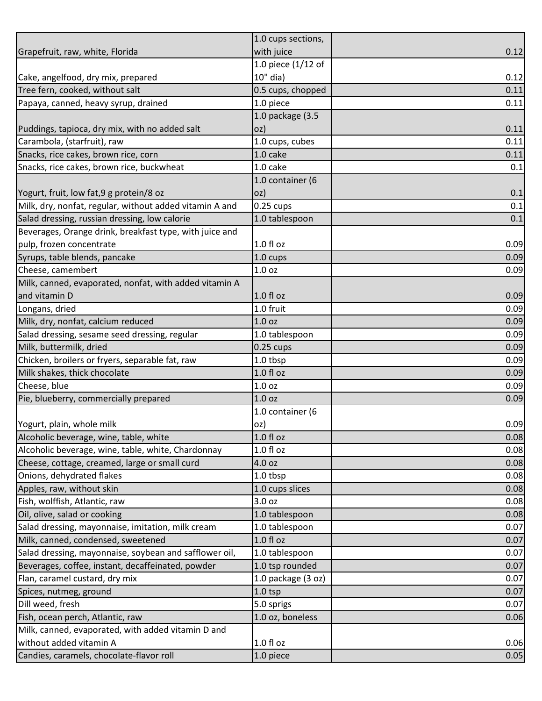|                                                         | 1.0 cups sections, |      |
|---------------------------------------------------------|--------------------|------|
| Grapefruit, raw, white, Florida                         | with juice         | 0.12 |
|                                                         | 1.0 piece (1/12 of |      |
| Cake, angelfood, dry mix, prepared                      | 10" dia)           | 0.12 |
| Tree fern, cooked, without salt                         | 0.5 cups, chopped  | 0.11 |
| Papaya, canned, heavy syrup, drained                    | 1.0 piece          | 0.11 |
|                                                         | 1.0 package (3.5   |      |
| Puddings, tapioca, dry mix, with no added salt          | oz)                | 0.11 |
| Carambola, (starfruit), raw                             | 1.0 cups, cubes    | 0.11 |
| Snacks, rice cakes, brown rice, corn                    | 1.0 cake           | 0.11 |
| Snacks, rice cakes, brown rice, buckwheat               | 1.0 cake           | 0.1  |
|                                                         | 1.0 container (6   |      |
| Yogurt, fruit, low fat, 9 g protein/8 oz                | OZ)                | 0.1  |
| Milk, dry, nonfat, regular, without added vitamin A and | $0.25$ cups        | 0.1  |
| Salad dressing, russian dressing, low calorie           | 1.0 tablespoon     | 0.1  |
| Beverages, Orange drink, breakfast type, with juice and |                    |      |
| pulp, frozen concentrate                                | $1.0 f$ l oz       | 0.09 |
| Syrups, table blends, pancake                           | 1.0 cups           | 0.09 |
| Cheese, camembert                                       | 1.0 <sub>oz</sub>  | 0.09 |
| Milk, canned, evaporated, nonfat, with added vitamin A  |                    |      |
| and vitamin D                                           | $1.0 f$ l oz       | 0.09 |
| Longans, dried                                          | 1.0 fruit          | 0.09 |
| Milk, dry, nonfat, calcium reduced                      | 1.0 <sub>oz</sub>  | 0.09 |
| Salad dressing, sesame seed dressing, regular           | 1.0 tablespoon     | 0.09 |
| Milk, buttermilk, dried                                 | $0.25$ cups        | 0.09 |
| Chicken, broilers or fryers, separable fat, raw         | 1.0 tbsp           | 0.09 |
| Milk shakes, thick chocolate                            | 1.0 fl oz          | 0.09 |
| Cheese, blue                                            | 1.0 oz             | 0.09 |
| Pie, blueberry, commercially prepared                   | 1.0 oz             | 0.09 |
|                                                         | 1.0 container (6   |      |
| Yogurt, plain, whole milk                               | oz)                | 0.09 |
| Alcoholic beverage, wine, table, white                  | $1.0 f$ l oz       | 0.08 |
| Alcoholic beverage, wine, table, white, Chardonnay      | $1.0 f$ l oz       | 0.08 |
| Cheese, cottage, creamed, large or small curd           | 4.0 oz             | 0.08 |
| Onions, dehydrated flakes                               | 1.0 tbsp           | 0.08 |
| Apples, raw, without skin                               | 1.0 cups slices    | 0.08 |
| Fish, wolffish, Atlantic, raw                           | 3.0 oz             | 0.08 |
| Oil, olive, salad or cooking                            | 1.0 tablespoon     | 0.08 |
| Salad dressing, mayonnaise, imitation, milk cream       | 1.0 tablespoon     | 0.07 |
| Milk, canned, condensed, sweetened                      | $1.0 f$ l oz       | 0.07 |
| Salad dressing, mayonnaise, soybean and safflower oil,  | 1.0 tablespoon     | 0.07 |
| Beverages, coffee, instant, decaffeinated, powder       | 1.0 tsp rounded    | 0.07 |
| Flan, caramel custard, dry mix                          | 1.0 package (3 oz) | 0.07 |
|                                                         |                    |      |
| Spices, nutmeg, ground                                  | $1.0$ tsp          | 0.07 |
| Dill weed, fresh                                        | 5.0 sprigs         | 0.07 |
| Fish, ocean perch, Atlantic, raw                        | 1.0 oz, boneless   | 0.06 |
| Milk, canned, evaporated, with added vitamin D and      |                    |      |
| without added vitamin A                                 | $1.0 f$ l oz       | 0.06 |
| Candies, caramels, chocolate-flavor roll                | 1.0 piece          | 0.05 |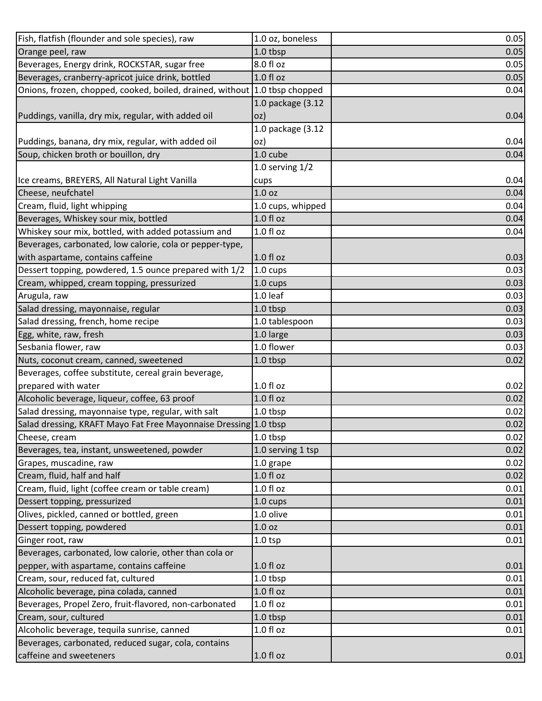| Fish, flatfish (flounder and sole species), raw                                 | 1.0 oz, boneless  | 0.05 |
|---------------------------------------------------------------------------------|-------------------|------|
| Orange peel, raw                                                                | 1.0 tbsp          | 0.05 |
| Beverages, Energy drink, ROCKSTAR, sugar free                                   | 8.0 fl oz         | 0.05 |
| Beverages, cranberry-apricot juice drink, bottled                               | 1.0 fl oz         | 0.05 |
| Onions, frozen, chopped, cooked, boiled, drained, without                       | 1.0 tbsp chopped  | 0.04 |
|                                                                                 | 1.0 package (3.12 |      |
| Puddings, vanilla, dry mix, regular, with added oil                             | oz)               | 0.04 |
|                                                                                 | 1.0 package (3.12 |      |
| Puddings, banana, dry mix, regular, with added oil                              | oz)               | 0.04 |
| Soup, chicken broth or bouillon, dry                                            | 1.0 cube          | 0.04 |
|                                                                                 | 1.0 serving $1/2$ |      |
| Ice creams, BREYERS, All Natural Light Vanilla                                  | cups              | 0.04 |
| Cheese, neufchatel                                                              | 1.0 oz            | 0.04 |
| Cream, fluid, light whipping                                                    | 1.0 cups, whipped | 0.04 |
| Beverages, Whiskey sour mix, bottled                                            | $1.0 f$ l oz      | 0.04 |
| Whiskey sour mix, bottled, with added potassium and                             | 1.0 fl oz         | 0.04 |
| Beverages, carbonated, low calorie, cola or pepper-type,                        |                   |      |
| with aspartame, contains caffeine                                               | $1.0 f$ l oz      | 0.03 |
| Dessert topping, powdered, 1.5 ounce prepared with 1/2                          | 1.0 cups          | 0.03 |
| Cream, whipped, cream topping, pressurized                                      | 1.0 cups          | 0.03 |
| Arugula, raw                                                                    | $1.0$ leaf        | 0.03 |
| Salad dressing, mayonnaise, regular                                             | 1.0 tbsp          | 0.03 |
| Salad dressing, french, home recipe                                             | 1.0 tablespoon    | 0.03 |
| Egg, white, raw, fresh                                                          | 1.0 large         | 0.03 |
| Sesbania flower, raw                                                            | 1.0 flower        | 0.03 |
| Nuts, coconut cream, canned, sweetened                                          | 1.0 tbsp          | 0.02 |
| Beverages, coffee substitute, cereal grain beverage,                            |                   |      |
| prepared with water                                                             | $1.0 f$ l oz      | 0.02 |
| Alcoholic beverage, liqueur, coffee, 63 proof                                   | $1.0 f$ l oz      | 0.02 |
| Salad dressing, mayonnaise type, regular, with salt                             | 1.0 tbsp          | 0.02 |
| Salad dressing, KRAFT Mayo Fat Free Mayonnaise Dressing 1.0 tbsp                |                   | 0.02 |
| Cheese, cream                                                                   | 1.0 tbsp          | 0.02 |
| Beverages, tea, instant, unsweetened, powder                                    | 1.0 serving 1 tsp | 0.02 |
| Grapes, muscadine, raw                                                          | 1.0 grape         | 0.02 |
| Cream, fluid, half and half                                                     | 1.0 f1 oz         | 0.02 |
| Cream, fluid, light (coffee cream or table cream)                               | $1.0 f$ l oz      | 0.01 |
| Dessert topping, pressurized                                                    | 1.0 cups          | 0.01 |
| Olives, pickled, canned or bottled, green                                       | 1.0 olive         | 0.01 |
| Dessert topping, powdered                                                       | 1.0 oz            | 0.01 |
| Ginger root, raw                                                                | $1.0$ tsp         | 0.01 |
| Beverages, carbonated, low calorie, other than cola or                          |                   |      |
| pepper, with aspartame, contains caffeine                                       | $1.0 f$ l oz      | 0.01 |
| Cream, sour, reduced fat, cultured                                              | 1.0 tbsp          | 0.01 |
| Alcoholic beverage, pina colada, canned                                         | $1.0 f$ l oz      | 0.01 |
| Beverages, Propel Zero, fruit-flavored, non-carbonated                          | $1.0f$ l oz       | 0.01 |
| Cream, sour, cultured                                                           | 1.0 tbsp          | 0.01 |
|                                                                                 |                   |      |
| Alcoholic beverage, tequila sunrise, canned                                     | $1.0 f$ l oz      | 0.01 |
| Beverages, carbonated, reduced sugar, cola, contains<br>caffeine and sweeteners | $1.0 f$ l oz      |      |